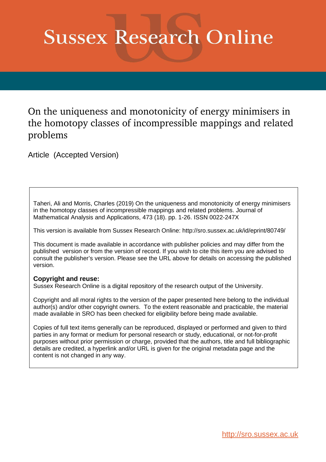# **Sussex Research Online**

# On the uniqueness and monotonicity of energy minimisers in the homotopy classes of incompressible mappings and related problems

Article (Accepted Version)

Taheri, Ali and Morris, Charles (2019) On the uniqueness and monotonicity of energy minimisers in the homotopy classes of incompressible mappings and related problems. Journal of Mathematical Analysis and Applications, 473 (18). pp. 1-26. ISSN 0022-247X

This version is available from Sussex Research Online: http://sro.sussex.ac.uk/id/eprint/80749/

This document is made available in accordance with publisher policies and may differ from the published version or from the version of record. If you wish to cite this item you are advised to consult the publisher's version. Please see the URL above for details on accessing the published version.

#### **Copyright and reuse:**

Sussex Research Online is a digital repository of the research output of the University.

Copyright and all moral rights to the version of the paper presented here belong to the individual author(s) and/or other copyright owners. To the extent reasonable and practicable, the material made available in SRO has been checked for eligibility before being made available.

Copies of full text items generally can be reproduced, displayed or performed and given to third parties in any format or medium for personal research or study, educational, or not-for-profit purposes without prior permission or charge, provided that the authors, title and full bibliographic details are credited, a hyperlink and/or URL is given for the original metadata page and the content is not changed in any way.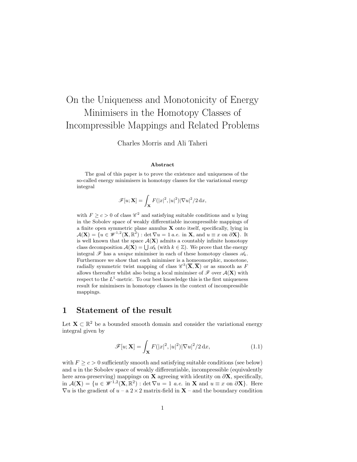# On the Uniqueness and Monotonicity of Energy Minimisers in the Homotopy Classes of Incompressible Mappings and Related Problems

Charles Morris and Ali Taheri

#### Abstract

The goal of this paper is to prove the existence and uniqueness of the so-called energy minimisers in homotopy classes for the variational energy integral

$$
\mathscr{F}[u; \mathbf{X}] = \int_{\mathbf{X}} F(|x|^2, |u|^2) |\nabla u|^2 / 2 \, \mathrm{d}x,
$$

with  $F \ge c > 0$  of class  $\mathscr{C}^2$  and satisfying suitable conditions and u lying in the Sobolev space of weakly differentiable incompressible mappings of a finite open symmetric plane annulus  $X$  onto itself, specifically, lying in  $\mathcal{A}(\mathbf{X}) = \{u \in \mathcal{W}^{1,2}(\mathbf{X}, \mathbb{R}^2) : \det \nabla u = 1 \text{ a.e. in } \mathbf{X}, \text{ and } u \equiv x \text{ on } \partial \mathbf{X}\}.$  It is well known that the space  $\mathcal{A}(\mathbf{X})$  admits a countably infinite homotopy class decomposition  $\mathcal{A}(\mathbf{X}) = \bigcup \mathscr{A}_k$  (with  $k \in \mathbb{Z}$ ). We prove that the energy integral  $\mathscr F$  has a *unique* minimiser in each of these homotopy classes  $\mathscr A_k$ . Furthermore we show that each minimiser is a homeomorphic, monotone, radially symmetric twist mapping of class  $\mathscr{C}^3(\overline{\mathbf{X}}, \overline{\mathbf{X}})$  or as smooth as F allows thereafter whilst also being a local minimiser of  $\mathscr F$  over  $\mathcal A(\mathbf X)$  with respect to the  $L^1$ -metric. To our best knowledge this is the first uniqueness result for minimisers in homotopy classes in the context of incompressible mappings.

#### <span id="page-1-1"></span>1 Statement of the result

Let  $\mathbf{X} \subset \mathbb{R}^2$  be a bounded smooth domain and consider the variational energy integral given by

<span id="page-1-0"></span>
$$
\mathscr{F}[u; \mathbf{X}] = \int_{\mathbf{X}} F(|x|^2, |u|^2) |\nabla u|^2 / 2 \, \mathrm{d}x,\tag{1.1}
$$

with  $F \ge c > 0$  sufficiently smooth and satisfying suitable conditions (see below) and  $u$  in the Sobolev space of weakly differentiable, incompressible (equivalently here area-preserving) mappings on **X** agreeing with identity on  $\partial$ **X**, specifically, in  $\mathcal{A}(\mathbf{X}) = \{u \in \mathcal{W}^{1,2}(\mathbf{X}, \mathbb{R}^2) : \det \nabla u = 1 \text{ a.e. in } \mathbf{X} \text{ and } u \equiv x \text{ on } \partial \mathbf{X}\}.$  Here  $\nabla u$  is the gradient of  $u - a 2 \times 2$  matrix-field in  $X$  – and the boundary condition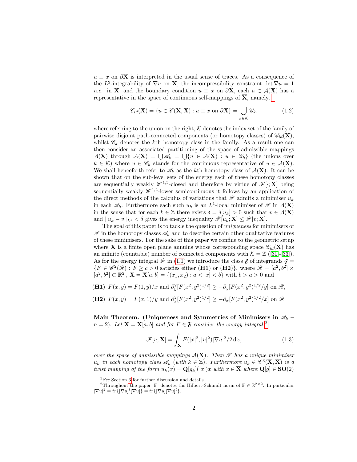$u \equiv x$  on  $\partial$ **X** is interpreted in the usual sense of traces. As a consequence of the L<sup>2</sup>-integrability of  $\nabla u$  on **X**, the incompressibility constraint det  $\nabla u = 1$ a.e. in **X**, and the boundary condition  $u \equiv x$  on  $\partial$ **X**, each  $u \in \mathcal{A}(\mathbf{X})$  has a representative in the space of continuous self-mappings of  $\overline{X}$ , namely, <sup>[1](#page-2-0)</sup>

<span id="page-2-2"></span>
$$
\mathscr{C}_{id}(\mathbf{X}) = \{ u \in \mathscr{C}(\overline{\mathbf{X}}, \overline{\mathbf{X}}) : u \equiv x \text{ on } \partial \mathbf{X} \} = \bigcup_{k \in \mathcal{K}} \mathscr{C}_k,
$$
(1.2)

where referring to the union on the right,  $K$  denotes the index set of the family of pairwise disjoint path-connected components (or homotopy classes) of  $\mathscr{C}_{id}(\mathbf{X})$ , whilst  $\mathscr{C}_k$  denotes the kth homotopy class in the family. As a result one can then consider an associated partitioning of the space of admissible mappings  $\mathcal{A}(\mathbf{X})$  through  $\mathcal{A}(\mathbf{X}) = \bigcup \mathscr{A}_k = \bigcup \{u \in \mathcal{A}(\mathbf{X}) : u \in \mathscr{C}_k\}$  (the unions over  $k \in \mathcal{K}$ ) where  $u \in \mathscr{C}_k$  stands for the continuous representative of  $u \in \mathcal{A}(\mathbf{X})$ . We shall henceforth refer to  $\mathscr{A}_k$  as the kth homotopy class of  $\mathcal{A}(\mathbf{X})$ . It can be shown that on the sub-level sets of the energy each of these homotopy classes are sequentially weakly  $\mathscr{W}^{1,2}$ -closed and therefore by virtue of  $\mathscr{F}[\cdot; \mathbf{X}]$  being sequentially weakly  $\mathcal{W}^{1,2}$ -lower semicontinuous it follows by an application of the direct methods of the calculus of variations that  $\mathscr F$  admits a minimiser  $u_k$ in each  $\mathscr{A}_k$ . Furthermore each such  $u_k$  is an  $L^1$ -local minimiser of  $\mathscr{F}$  in  $\mathcal{A}(\mathbf{X})$ in the sense that for each  $k \in \mathbb{Z}$  there exists  $\delta = \delta[u_k] > 0$  such that  $v \in \mathcal{A}(\mathbf{X})$ and  $||u_k - v||_{L^1} < \delta$  gives the energy inequality  $\mathscr{F}[u_k; \mathbf{X}] \leq \mathscr{F}[v; \mathbf{X}].$ 

The goal of this paper is to tackle the question of uniqueness for minimisers of  $\mathscr F$  in the homotopy classes  $\mathscr A_k$  and to describe certain other qualitative features of these minimisers. For the sake of this paper we confine to the geometric setup where **X** is a finite open plane annulus whose corresponding space  $\mathscr{C}_{id}(\mathbf{X})$  has an infinite (countable) number of connected components with  $\mathcal{K} = \mathbb{Z}$  ([\[30\]](#page-29-0)-[\[33\]](#page-30-0)). As for the energy integral  $\mathscr F$  in [\(1.1\)](#page-1-0) we introduce the class  $\mathfrak F$  of integrands  $\mathfrak F$  =  $\{F \in \mathscr{C}^2(\mathscr{R}) : F \geq c > 0 \text{ satisfies either (H1) or (H2)}\}, \text{ where } \mathscr{R} = [a^2, b^2] \times$  $[a^2, b^2] \subset \mathbb{R}^2_+$ ,  $\mathbf{X} = \mathbf{X}[a, b] = \{(x_1, x_2) : a < |x| < b\}$  with  $b > a > 0$  and

(**H1**) 
$$
F(x, y) = F(1, y)/x
$$
 and  $\partial_y^2 [F(x^2, y^2)^{1/2}] \ge -\partial_y [F(x^2, y^2)^{1/2}/y]$  on  $\mathcal{R}$ ,  
(**H2**)  $F(x, y) = F(x, 1)/y$  and  $\partial_x^2 [F(x^2, y^2)^{1/2}] \ge -\partial_x [F(x^2, y^2)^{1/2}/x]$  on  $\mathcal{R}$ .

Main Theorem. (Uniqueness and Symmetries of Minimisers in  $\mathscr{A}_k$  –  $n = 2$  $n = 2$ : Let  $X = X[a, b]$  and for  $F \in \mathfrak{F}$  consider the energy integral <sup>2</sup>

$$
\mathscr{F}[u; \mathbf{X}] = \int_{\mathbf{X}} F(|x|^2, |u|^2) |\nabla u|^2 / 2 \, \mathrm{d}x,\tag{1.3}
$$

over the space of admissible mappings  $A(X)$ . Then  $\mathscr F$  has a unique minimiser  $u_k$  in each homotopy class  $\mathscr{A}_k$  (with  $k \in \mathbb{Z}$ ). Furthermore  $u_k \in \mathscr{C}^3(\overline{\mathbf{X}}, \overline{\mathbf{X}})$  is a twist mapping of the form  $u_k(x) = \mathbf{Q}[g_k](x|x)$  with  $x \in \overline{\mathbf{X}}$  where  $\mathbf{Q}[g] \in \mathbf{SO}(2)$ 

<span id="page-2-1"></span><span id="page-2-0"></span> ${}^{1}See$  Section [3](#page-10-0) for further discussion and details.

<sup>&</sup>lt;sup>2</sup>Throughout the paper  $|F|$  denotes the Hilbert-Schmidt norm of  $F \in \mathbb{R}^{2 \times 2}$ . In particular  $|\nabla u|^2 = tr\{ |\nabla u|^t |\nabla u| \} = tr\{ |\nabla u| |\nabla u|^t \}.$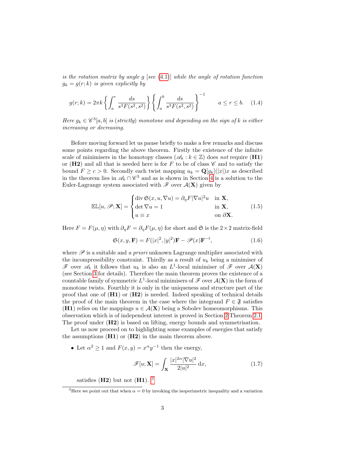is the rotation matrix by angle  $g$  [see [\(4.1\)](#page-14-0)] while the angle of rotation function  $g_k = g(r; k)$  is given explicitly by

$$
g(r;k) = 2\pi k \left\{ \int_a^r \frac{ds}{s^3 F(s^2, s^2)} \right\} \left\{ \int_a^b \frac{ds}{s^3 F(s^2, s^2)} \right\}^{-1} \qquad a \le r \le b. \tag{1.4}
$$

Here  $g_k \in \mathscr{C}^3[a,b]$  is (strictly) monotone and depending on the sign of k is either increasing or decreasing.

Before moving forward let us pause briefly to make a few remarks and discuss some points regarding the above theorem. Firstly the existence of the infinite scale of minimisers in the homotopy classes ( $\mathscr{A}_k : k \in \mathbb{Z}$ ) does not require (H1) or (H2) and all that is needed here is for F to be of class  $\mathscr C$  and to satisfy the bound  $F \ge c > 0$ . Secondly each twist mapping  $u_k = \mathbf{Q}[g_k](x|x)$  as described in the theorem lies in  $\mathscr{A}_k \cap \mathscr{C}^3$  and as is shown in Section [4](#page-14-1) is a solution to the Euler-Lagrange system associated with  $\mathscr F$  over  $\mathcal A(\mathbf X)$  given by

$$
\mathbb{EL}[u,\mathscr{P};\mathbf{X}] = \begin{cases} \operatorname{div} \mathfrak{S}(x,u,\nabla u) = \partial_{\eta} F |\nabla u|^2 u & \text{in } \mathbf{X}, \\ \operatorname{det} \nabla u = 1 & \text{in } \mathbf{X}, \\ u \equiv x & \text{on } \partial \mathbf{X}. \end{cases}
$$
(1.5)

Here  $F = F(\mu, \eta)$  with  $\partial_{\eta} F = \partial_{\eta} F(\mu, \eta)$  for short and  $\mathfrak{S}$  is the 2×2 matrix-field

<span id="page-3-1"></span>
$$
\mathfrak{S}(x, y, \mathbf{F}) = F(|x|^2, |y|^2)\mathbf{F} - \mathcal{P}(x)\mathbf{F}^{-t},\tag{1.6}
$$

where  $\mathscr P$  is a suitable and a priori unknown Lagrange multiplier associated with the incompressibility constraint. Thirdly as a result of  $u_k$  being a minimiser of  $\mathscr F$  over  $\mathscr A_k$  it follows that  $u_k$  is also an  $L^1$ -local minimiser of  $\mathscr F$  over  $\mathcal A(\mathbf X)$ (see Section [3](#page-10-0) for details). Therefore the main theorem proves the existence of a countable family of symmetric  $L^1$ -local minimisers of  $\mathscr F$  over  $\mathcal A(\mathbf X)$  in the form of monotone twists. Fourthly it is only in the uniqueness and structure part of the proof that one of (H1) or (H2) is needed. Indeed speaking of technical details the proof of the main theorem in the case where the integrand  $F \in \mathfrak{F}$  satisfies (H1) relies on the mappings  $u \in \mathcal{A}(\mathbf{X})$  being a Sobolev homeomorphisms. This observation which is of independent interest is proved in Section [2](#page-4-0) Theorem [2.1.](#page-5-0) The proof under  $(H2)$  is based on lifting, energy bounds and symmetrisation.

Let us now proceed on to highlighting some examples of energies that satisfy the assumptions  $(H1)$  or  $(H2)$  in the main theorem above.

• Let  $\alpha^2 \geq 1$  and  $F(x, y) = x^{\alpha}y^{-1}$  then the energy,

$$
\mathscr{F}[u; \mathbf{X}] = \int_{\mathbf{X}} \frac{|x|^{2\alpha} |\nabla u|^2}{2|u|^2} dx, \qquad (1.7)
$$

satisfies  $(H2)$  but not  $(H1)$ . <sup>[3](#page-3-0)</sup>

<span id="page-3-0"></span><sup>&</sup>lt;sup>3</sup>Here we point out that when  $\alpha = 0$  by invoking the isoperimetric inequality and a variation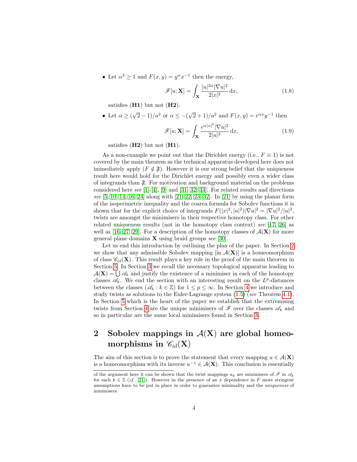• Let  $\alpha^2 \geq 1$  and  $F(x, y) = y^{\alpha} x^{-1}$  then the energy,

$$
\mathscr{F}[u; \mathbf{X}] = \int_{\mathbf{X}} \frac{|u|^{2\alpha} |\nabla u|^2}{2|x|^2} dx,
$$
\n(1.8)

satisfies  $(H1)$  but not  $(H2)$ .

• Let  $\alpha \geq 0$  $\sqrt{2} - 1/a^2$  or  $\alpha \leq -(\sqrt{2} + 1)/a^2$  and  $F(x, y) = e^{\alpha x} y^{-1}$  then

$$
\mathscr{F}[u; \mathbf{X}] = \int_{\mathbf{X}} \frac{e^{\alpha |x|^2} |\nabla u|^2}{2|u|^2} \, \mathrm{d}x,\tag{1.9}
$$

satisfies  $(H2)$  but not  $(H1)$ .

As a non-example we point out that the Dirichlet energy (i.e.,  $F \equiv 1$ ) is not covered by the main theorem as the technical apparatus developed here does not immediately apply  $(F \notin \mathfrak{F})$ . However it is our strong belief that the uniqueness result here would hold for the Dirichlet energy and possibly even a wider class of integrands than  $\mathfrak{F}$ . For motivation and background material on the problems considered here see [\[1\]](#page-28-0)-[\[4\]](#page-28-1), [\[9\]](#page-28-2) and [\[31,](#page-30-1) [32,](#page-30-2) [33\]](#page-30-0). For related results and directions see  $[5, 10, 14, 16, 24]$  $[5, 10, 14, 16, 24]$  $[5, 10, 14, 16, 24]$  $[5, 10, 14, 16, 24]$  $[5, 10, 14, 16, 24]$  along with  $[21, 22, 23, 32]$  $[21, 22, 23, 32]$  $[21, 22, 23, 32]$  $[21, 22, 23, 32]$ . In  $[21]$  by using the planar form of the isoperimetric inequality and the coarea formula for Sobolev functions it is shown that for the explicit choice of integrands  $F(|x|^2, |u|^2) |\nabla u|^2 = |\nabla u|^2 / |u|^2$ , twists are amongst the minimisers in their respective homotopy class. For other related uniqueness results (not in the homotopy class context) see [\[17,](#page-29-5) [26\]](#page-29-6) as well as [\[16,](#page-28-6) [27,](#page-29-7) [29\]](#page-29-8). For a description of the homotopy classes of  $\mathcal{A}(\mathbf{X})$  for more general plane domains  $X$  using braid groups see [\[30\]](#page-29-0).

Let us end this introduction by outlining the plan of the paper. In Section [2](#page-4-0) we show that any admissible Sobolev mapping  $\left[\text{in } A(\mathbf{X})\right]$  is a homeomorphism of class  $\mathscr{C}_{id}(\mathbf{X})$ . This result plays a key role in the proof of the main theorem in Section [5.](#page-18-0) In Section [3](#page-10-0) we recall the necessary topological apparatus leading to  $\mathcal{A}(\mathbf{X}) = \bigcup \mathcal{A}_k$  and justify the existence of a minimiser in each of the homotopy classes  $\mathscr{A}_k$ . We end the section with an interesting result on the  $L^p$ -distances between the classes ( $\mathscr{A}_k : k \in \mathbb{Z}$ ) for  $1 \leq p \leq \infty$ . In Section [4](#page-14-1) we introduce and study twists as solutions to the Euler-Lagrange system [\(1.5\)](#page-3-1) (see Theorem [4.1\)](#page-17-0). In Section [5](#page-18-0) which is the heart of the paper we establish that the extremising twists from Section [4](#page-14-1) are the unique minimisers of  $\mathscr F$  over the classes  $\mathscr A_k$  and so in particular are the same local minimisers found in Section [3.](#page-10-0)

### <span id="page-4-0"></span>2 Sobolev mappings in  $A(X)$  are global homeomorphisms in  $\mathscr{C}_{id}(\mathbf{X})$

The aim of this section is to prove the statement that every mapping  $u \in \mathcal{A}(\mathbf{X})$ is a homeomorphism with its inverse  $u^{-1} \in \mathcal{A}(\mathbf{X})$ . This conclusion is essentially

of the argument here it can be shown that the twist mappings  $u_k$  are minimisers of  $\mathscr F$  in  $\mathscr A_k$ for each  $k \in \mathbb{Z}$  (cf. [\[21\]](#page-29-2)). However in the presence of an x dependence in F more stringent assumptions have to be put in place in order to guarantee minimality and the uniqueness of minimisers.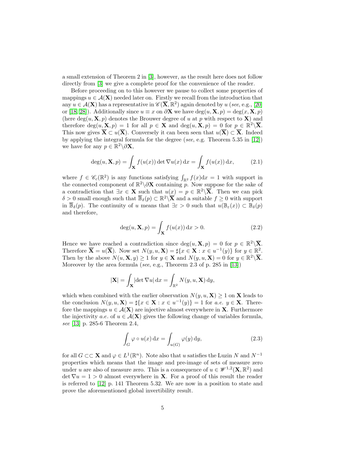a small extension of Theorem 2 in [\[3\]](#page-28-7), however, as the result here does not follow directly from [\[3\]](#page-28-7) we give a complete proof for the convenience of the reader.

Before proceeding on to this however we pause to collect some properties of mappings  $u \in \mathcal{A}(\mathbf{X})$  needed later on. Firstly we recall from the introduction that any  $u \in \mathcal{A}(\mathbf{X})$  has a representative in  $\mathscr{C}(\overline{\mathbf{X}}, \mathbb{R}^2)$  again denoted by  $u$  (see, e.g., [\[20\]](#page-29-9) or [\[18,](#page-29-10) [28\]](#page-29-11)). Additionally since  $u \equiv x$  on  $\partial X$  we have  $deg(u, X, p) = deg(x, X, p)$ (here deg(u,  $X$ , p) denotes the Brouwer degree of u at p with respect to  $X$ ) and therefore  $deg(u, \mathbf{X}, p) = 1$  for all  $p \in \mathbf{X}$  and  $deg(u, \mathbf{X}, p) = 0$  for  $p \in \mathbb{R}^2 \setminus \overline{\mathbf{X}}$ . This now gives  $\overline{X} \subset u(\overline{X})$ . Conversely it can been seen that  $u(\overline{X}) \subset \overline{X}$ . Indeed by applying the integral formula for the degree (see, e.g. Theorem 5.35 in [\[12\]](#page-28-8)) we have for any  $p \in \mathbb{R}^2 \backslash \partial \mathbf{X}$ ,

$$
\deg(u, \mathbf{X}, p) = \int_{\mathbf{X}} f(u(x)) \det \nabla u(x) \, dx = \int_{\mathbf{X}} f(u(x)) \, dx, \tag{2.1}
$$

where  $f \in \mathscr{C}_c(\mathbb{R}^2)$  is any functions satisfying  $\int_{\mathbb{R}^2} f(x) dx = 1$  with support in the connected component of  $\mathbb{R}^2 \setminus \partial X$  containing p. Now suppose for the sake of a contradiction that  $\exists x \in \mathbf{X}$  such that  $u(x) = p \in \mathbb{R}^2 \setminus \overline{\mathbf{X}}$ . Then we can pick  $\delta > 0$  small enough such that  $\overline{\mathbb{B}}_{\delta}(p) \subset \mathbb{R}^2 \setminus \overline{\mathbf{X}}$  and a suitable  $f \geq 0$  with support in  $\overline{\mathbb{B}}_{\delta}(p)$ . The continuity of u means that  $\exists \varepsilon > 0$  such that  $u(\mathbb{B}_{\varepsilon}(x)) \subset \mathbb{B}_{\delta}(p)$ and therefore,

$$
\deg(u, \mathbf{X}, p) = \int_{\mathbf{X}} f(u(x)) dx > 0.
$$
 (2.2)

Hence we have reached a contradiction since  $deg(u, \mathbf{X}, p) = 0$  for  $p \in \mathbb{R}^2 \setminus \overline{\mathbf{X}}$ . Therefore  $\overline{\mathbf{X}} = u(\overline{\mathbf{X}})$ . Now set  $N(y, u, \mathbf{X}) = \sharp \{x \in \mathbf{X} : x \in u^{-1}(y)\}$  for  $y \in \mathbb{R}^2$ . Then by the above  $N(u, \mathbf{X}, y) \ge 1$  for  $y \in \mathbf{X}$  and  $N(y, u, \mathbf{X}) = 0$  for  $y \in \mathbb{R}^2 \setminus \overline{\mathbf{X}}$ . Moreover by the area formula (see, e.g., Theorem 2.3 of p. 285 in [\[13\]](#page-28-9))

$$
|\mathbf{X}| = \int_{\mathbf{X}} |\det \nabla u| \, \mathrm{d}x = \int_{\mathbb{R}^2} N(y, u, \mathbf{X}) \, \mathrm{d}y,
$$

which when combined with the earlier observation  $N(y, u, \mathbf{X}) \geq 1$  on **X** leads to the conclusion  $N(y, u, \mathbf{X}) = \frac{u}{x} \{x \in \mathbf{X} : x \in u^{-1}(y)\} = 1$  for a.e.  $y \in \mathbf{X}$ . Therefore the mappings  $u \in \mathcal{A}(\mathbf{X})$  are injective almost everywhere in **X**. Furthermore the injectivity a.e. of  $u \in \mathcal{A}(\mathbf{X})$  gives the following change of variables formula, see [\[13\]](#page-28-9) p. 285-6 Theorem 2.4,

<span id="page-5-1"></span>
$$
\int_{G} \varphi \circ u(x) dx = \int_{u(G)} \varphi(y) dy,
$$
\n(2.3)

<span id="page-5-0"></span>for all  $G \subset \subset \mathbf{X}$  and  $\varphi \in L^1(\mathbb{R}^n)$ . Note also that u satisfies the Luzin N and  $N^{-1}$ properties which means that the image and pre-image of sets of measure zero under u are also of measure zero. This is a consequence of  $u \in \mathscr{W}^{1,2}(\mathbf{X}, \mathbb{R}^2)$  and  $\det \nabla u = 1 > 0$  almost everywhere in **X**. For a proof of this result the reader is referred to [\[12\]](#page-28-8) p. 141 Theorem 5.32. We are now in a position to state and prove the aforementioned global invertibility result.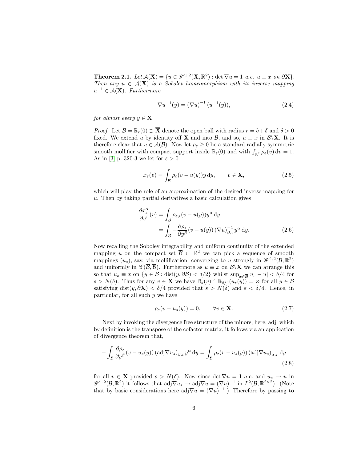**Theorem 2.1.** Let  $\mathcal{A}(\mathbf{X}) = \{u \in \mathcal{W}^{1,2}(\mathbf{X}, \mathbb{R}^2) : \det \nabla u = 1 \text{ a.e. } u \equiv x \text{ on } \partial \mathbf{X} \}.$ Then any  $u \in A(X)$  is a Sobolev homeomorphism with its inverse mapping  $u^{-1} \in \mathcal{A}(\mathbf{X})$ . Furthermore

$$
\nabla u^{-1}(y) = (\nabla u)^{-1} (u^{-1}(y)), \qquad (2.4)
$$

for almost every  $y \in \mathbf{X}$ .

*Proof.* Let  $\mathcal{B} = \mathbb{B}_r(0) \supset \overline{\mathbf{X}}$  denote the open ball with radius  $r = b + \delta$  and  $\delta > 0$ fixed. We extend u by identity off **X** and into  $\mathcal{B}$ , and so,  $u \equiv x$  in  $\mathcal{B}\backslash\mathbf{X}$ . It is therefore clear that  $u \in \mathcal{A}(\mathcal{B})$ . Now let  $\rho_{\varepsilon} \geq 0$  be a standard radially symmetric smooth mollifier with compact support inside  $\mathbb{B}_{\varepsilon}(0)$  and with  $\int_{\mathbb{R}^2} \rho_{\varepsilon}(v) dv = 1$ . As in [\[3\]](#page-28-7) p. 320-3 we let for  $\varepsilon > 0$ 

$$
x_{\varepsilon}(v) = \int_{\mathcal{B}} \rho_{\varepsilon}(v - u(y))y \, dy, \qquad v \in \mathbf{X}, \tag{2.5}
$$

which will play the role of an approximation of the desired inverse mapping for u. Then by taking partial derivatives a basic calculation gives

$$
\frac{\partial x_{\varepsilon}^{\alpha}}{\partial v^{i}}(v) = \int_{\mathcal{B}} \rho_{\varepsilon,i}(v - u(y)) y^{\alpha} dy
$$

$$
= \int_{\mathcal{B}} -\frac{\partial \rho_{\varepsilon}}{\partial y^{\beta}} (v - u(y)) (\nabla u)^{-1}_{\beta,i} y^{\alpha} dy.
$$
(2.6)

Now recalling the Sobolev integrability and uniform continuity of the extended mapping u on the compact set  $\overline{B} \subset \mathbb{R}^2$  we can pick a sequence of smooth mappings  $(u_s)$ , say, via mollification, converging to u strongly in  $\mathscr{W}^{1,2}(\mathcal{B},\mathbb{R}^2)$ and uniformly in  $\mathscr{C}(\overline{\mathcal{B}}, \overline{\mathcal{B}})$ . Furthermore as  $u \equiv x$  on  $\mathcal{B}\setminus\mathbf{X}$  we can arrange this so that  $u_s \equiv x$  on  $\{y \in \mathcal{B} : \text{dist}(y, \partial \mathcal{B}) < \delta/2\}$  whilst  $\sup_{x \in \overline{\mathcal{B}}} |u_s - u| < \delta/4$  for  $s > N(\delta)$ . Thus for any  $v \in \mathbf{X}$  we have  $\mathbb{B}_{\varepsilon}(v) \cap \mathbb{B}_{\delta/4}(u_s(v)) = \varnothing$  for all  $y \in \mathcal{B}$ satisfying dist $(y, \partial \mathbf{X}) < \delta/4$  provided that  $s > N(\delta)$  and  $\varepsilon < \delta/4$ . Hence, in particular, for all such  $y$  we have

$$
\rho_{\varepsilon}(v - u_s(y)) = 0, \qquad \forall v \in \mathbf{X}.
$$
\n(2.7)

Next by invoking the divergence free structure of the minors, here, adj, which by definition is the transpose of the cofactor matrix, it follows via an application of divergence theorem that,

$$
-\int_{\mathcal{B}} \frac{\partial \rho_{\varepsilon}}{\partial y^{\beta}} (v - u_{s}(y)) (\text{adj}\nabla u_{s})_{\beta,i} y^{\alpha} dy = \int_{\mathcal{B}} \rho_{\varepsilon} (v - u_{s}(y)) (\text{adj}\nabla u_{s})_{\alpha,i} dy
$$
\n(2.8)

for all  $v \in \mathbf{X}$  provided  $s > N(\delta)$ . Now since det  $\nabla u = 1$  a.e. and  $u_s \to u$  in  $\mathscr{W}^{1,2}(\mathcal{B},\mathbb{R}^2)$  it follows that  $\text{adj}\nabla u_s \to \text{adj}\nabla u = (\nabla u)^{-1}$  in  $L^2(\mathcal{B},\mathbb{R}^{2\times 2})$ . (Note that by basic considerations here adj $\nabla u = (\nabla u)^{-1}$ . Therefore by passing to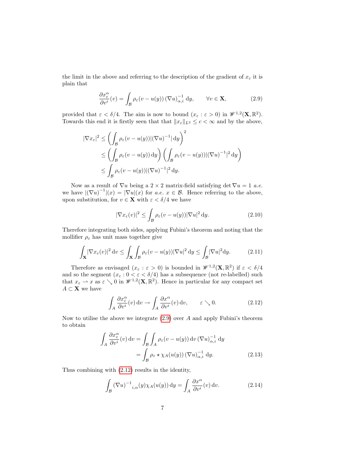the limit in the above and referring to the description of the gradient of  $x_{\varepsilon}$  it is plain that

<span id="page-7-0"></span>
$$
\frac{\partial x_{\varepsilon}^{\alpha}}{\partial v^{i}}(v) = \int_{\mathcal{B}} \rho_{\varepsilon}(v - u(y)) \left(\nabla u\right)_{\alpha,i}^{-1} dy, \qquad \forall v \in \mathbf{X}, \tag{2.9}
$$

provided that  $\varepsilon < \delta/4$ . The aim is now to bound  $(x_{\varepsilon}: \varepsilon > 0)$  in  $\mathscr{W}^{1,2}(\mathbf{X}, \mathbb{R}^2)$ . Towards this end it is firstly seen that that  $||x_{\varepsilon}||_{L^2} \leq c < \infty$  and by the above,

$$
|\nabla x_{\varepsilon}|^{2} \leq \left(\int_{\mathcal{B}} \rho_{\varepsilon}(v - u(y)) |(\nabla u)^{-1}| \, dy\right)^{2}
$$
  
\$\leq \left(\int\_{\mathcal{B}} \rho\_{\varepsilon}(v - u(y)) \, dy\right) \left(\int\_{\mathcal{B}} \rho\_{\varepsilon}(v - u(y)) |(\nabla u)^{-1}|^{2} \, dy\right)\$  
\$\leq \int\_{\mathcal{B}} \rho\_{\varepsilon}(v - u(y)) |(\nabla u)^{-1}|^{2} \, dy\$.

Now as a result of  $\nabla u$  being a 2 × 2 matrix-field satisfying det  $\nabla u = 1$  a.e. we have  $|(\nabla u)^{-1}|(x) = |\nabla u|(x)$  for  $a.e.$   $x \in \mathcal{B}$ . Hence referring to the above, upon substitution, for  $v \in \mathbf{X}$  with  $\varepsilon < \delta/4$  we have

$$
|\nabla x_{\varepsilon}(v)|^2 \le \int_{\mathcal{B}} \rho_{\varepsilon}(v - u(y)) |\nabla u|^2 \, \mathrm{d}y. \tag{2.10}
$$

Therefore integrating both sides, applying Fubini's theorem and noting that the mollifier  $\rho_{\varepsilon}$  has unit mass together give

$$
\int_{\mathbf{X}} |\nabla x_{\varepsilon}(v)|^2 dv \le \int_{\mathbf{X}} \int_{\mathcal{B}} \rho_{\varepsilon}(v - u(y)) |\nabla u|^2 dy \le \int_{\mathcal{B}} |\nabla u|^2 dy. \tag{2.11}
$$

Therefore as envisaged  $(x_\varepsilon : \varepsilon > 0)$  is bounded in  $\mathscr{W}^{1,2}(\mathbf{X}, \mathbb{R}^2)$  if  $\varepsilon < \delta/4$ and so the segment  $(x_\varepsilon: 0 < \varepsilon < \delta/4)$  has a subsequence (not re-labelled) such that  $x_{\varepsilon} \to x$  as  $\varepsilon \searrow 0$  in  $\mathscr{W}^{1,2}(\mathbf{X}, \mathbb{R}^2)$ . Hence in particular for any compact set  $A \subset \mathbf{X}$  we have

<span id="page-7-1"></span>
$$
\int_{A} \frac{\partial x_{\varepsilon}^{\alpha}}{\partial v^{i}}(v) dv \to \int_{A} \frac{\partial x^{\alpha}}{\partial v^{i}}(v) dv, \qquad \varepsilon \searrow 0.
$$
 (2.12)

Now to utilise the above we integrate  $(2.9)$  over A and apply Fubini's theorem to obtain

$$
\int_{A} \frac{\partial x_{\varepsilon}^{\alpha}}{\partial v^{i}}(v) dv = \int_{\mathcal{B}} \int_{A} \rho_{\varepsilon}(v - u(y)) dv (\nabla u)_{\alpha,i}^{-1} dy
$$

$$
= \int_{\mathcal{B}} \rho_{\varepsilon} \star \chi_{A}(u(y)) (\nabla u)_{\alpha,i}^{-1} dy.
$$
(2.13)

Thus combining with [\(2.12\)](#page-7-1) results in the identity,

$$
\int_{\mathcal{B}} \left(\nabla u\right)^{-1} i_{,\alpha}(y) \chi_A(u(y)) \, \mathrm{d}y = \int_A \frac{\partial x^{\alpha}}{\partial v^i}(v) \, \mathrm{d}v. \tag{2.14}
$$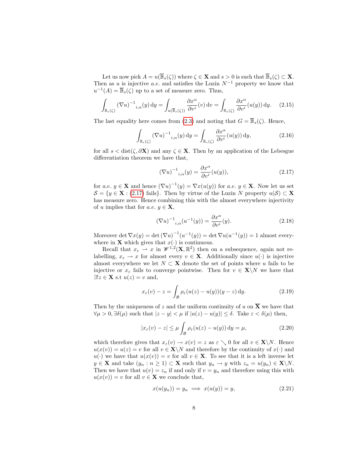Let us now pick  $A = u(\overline{\mathbb{B}}_s(\zeta))$  where  $\zeta \in \mathbf{X}$  and  $s > 0$  is such that  $\overline{\mathbb{B}}_s(\zeta) \subset \mathbf{X}$ . Then as u is injective a.e. and satisfies the Luzin  $N^{-1}$  property we know that  $u^{-1}(A) = \overline{\mathbb{B}}_s(\zeta)$  up to a set of measure zero. Thus,

$$
\int_{\mathbb{B}_s(\zeta)} (\nabla u)^{-1} i_{,\alpha}(y) dy = \int_{u(\overline{\mathbb{B}}_s(\zeta))} \frac{\partial x^{\alpha}}{\partial v^i}(v) dv = \int_{\mathbb{B}_s(\zeta)} \frac{\partial x^{\alpha}}{\partial v^i}(u(y)) dy. \tag{2.15}
$$

The last equality here comes from [\(2](#page-5-1).3) and noting that  $G = \overline{\mathbb{B}}_s(\zeta)$ . Hence,

$$
\int_{\mathbb{B}_s(\zeta)} (\nabla u)^{-1} i_{,\alpha}(y) \, \mathrm{d}y = \int_{\mathbb{B}_s(\zeta)} \frac{\partial x^{\alpha}}{\partial v^i}(u(y)) \, \mathrm{d}y,\tag{2.16}
$$

for all  $s < \text{dist}(\zeta, \partial \mathbf{X})$  and any  $\zeta \in \mathbf{X}$ . Then by an application of the Lebesgue differentiation theorem we have that,

<span id="page-8-0"></span>
$$
(\nabla u)^{-1}_{i,\alpha}(y) = \frac{\partial x^{\alpha}}{\partial v^{i}}(u(y)),
$$
\n(2.17)

for a.e.  $y \in \mathbf{X}$  and hence  $(\nabla u)^{-1}(y) = \nabla x(u(y))$  for a.e.  $y \in \mathbf{X}$ . Now let us set  $\mathcal{S} = \{y \in \mathbf{X} : (2.17) \text{ fails}\}\.$  $\mathcal{S} = \{y \in \mathbf{X} : (2.17) \text{ fails}\}\.$  $\mathcal{S} = \{y \in \mathbf{X} : (2.17) \text{ fails}\}\.$  Then by virtue of the Luzin N property  $u(\mathcal{S}) \subset \mathbf{X}$ has measure zero. Hence combining this with the almost everywhere injectivity of u implies that for  $a.e. y \in \mathbf{X}$ ,

<span id="page-8-1"></span>
$$
(\nabla u)^{-1}_{i,\alpha}(u^{-1}(y)) = \frac{\partial x^{\alpha}}{\partial v^i}(y).
$$
 (2.18)

Moreover det  $\nabla x(y) = \det (\nabla u)^{-1}(u^{-1}(y)) = \det \nabla u(u^{-1}(y)) = 1$  almost everywhere in **X** which gives that  $x(\cdot)$  is continuous.

Recall that  $x_{\varepsilon} \rightharpoonup x$  in  $\mathscr{W}^{1,2}(\mathbf{X}, \mathbb{R}^2)$  then on a subsequence, again not relabelling,  $x_{\varepsilon} \to x$  for almost every  $v \in \mathbf{X}$ . Additionally since  $u(\cdot)$  is injective almost everywhere we let  $N \subset \mathbf{X}$  denote the set of points where u fails to be injective or  $x_{\varepsilon}$  fails to converge pointwise. Then for  $v \in \mathbf{X}\backslash N$  we have that  $\exists ! z \in \mathbf{X}$  s.t  $u(z) = v$  and,

$$
x_{\varepsilon}(v) - z = \int_{\mathcal{B}} \rho_{\varepsilon}(u(z) - u(y))(y - z) \, dy.
$$
 (2.19)

Then by the uniqueness of z and the uniform continuity of u on  $\overline{\mathbf{X}}$  we have that  $\forall \mu > 0, \exists \delta(\mu)$  such that  $|z - y| < \mu$  if  $|u(z) - u(y)| \leq \delta$ . Take  $\varepsilon < \delta(\mu)$  then,

$$
|x_{\varepsilon}(v) - z| \le \mu \int_{\mathcal{B}} \rho_{\varepsilon}(u(z) - u(y)) \, \mathrm{d}y = \mu,\tag{2.20}
$$

which therefore gives that  $x_{\varepsilon}(v) \to x(v) = z$  as  $\varepsilon \searrow 0$  for all  $v \in \mathbf{X} \setminus N$ . Hence  $u(x(v)) = u(z) = v$  for all  $v \in \mathbf{X} \backslash N$  and therefore by the continuity of  $x(\cdot)$  and  $u(\cdot)$  we have that  $u(x(v)) = v$  for all  $v \in \mathbf{X}$ . To see that it is a left inverse let  $y \in \mathbf{X}$  and take  $(y_n : n \ge 1) \subset \mathbf{X}$  such that  $y_n \to y$  with  $z_n = u(y_n) \in \mathbf{X} \backslash N$ . Then we have that  $u(v) = z_n$  if and only if  $v = y_n$  and therefore using this with  $u(x(v)) = v$  for all  $v \in \mathbf{X}$  we conclude that,

$$
x(u(y_n)) = y_n \implies x(u(y)) = y,\tag{2.21}
$$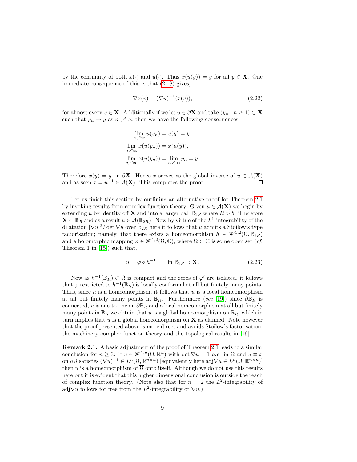by the continuity of both  $x(\cdot)$  and  $u(\cdot)$ . Thus  $x(u(y)) = y$  for all  $y \in \mathbf{X}$ . One immediate consequence of this is that [\(2.18\)](#page-8-1) gives,

$$
\nabla x(v) = (\nabla u)^{-1}(x(v)),\tag{2.22}
$$

for almost every  $v \in \mathbf{X}$ . Additionally if we let  $y \in \partial \mathbf{X}$  and take  $(y_n : n \ge 1) \subset \mathbf{X}$ such that  $y_n \to y$  as  $n \nearrow \infty$  then we have the following consequences

$$
\lim_{n \nearrow \infty} u(y_n) = u(y) = y,
$$
  
\n
$$
\lim_{n \nearrow \infty} x(u(y_n)) = x(u(y)),
$$
  
\n
$$
\lim_{n \nearrow \infty} x(u(y_n)) = \lim_{n \nearrow \infty} y_n = y.
$$

Therefore  $x(y) = y$  on  $\partial X$ . Hence x serves as the global inverse of  $u \in \mathcal{A}(X)$ and as seen  $x = u^{-1} \in \mathcal{A}(\mathbf{X})$ . This completes the proof.  $\Box$ 

Let us finish this section by outlining an alternative proof for Theorem [2.1](#page-5-0) by invoking results from complex function theory. Given  $u \in \mathcal{A}(\mathbf{X})$  we begin by extending u by identity of **X** and into a larger ball  $\mathbb{B}_{2R}$  where  $R > b$ . Therefore  $\overline{\mathbf{X}} \subset \mathbb{B}_R$  and as a result  $u \in \mathcal{A}(\mathbb{B}_{2R})$ . Now by virtue of the  $L^1$ -integrability of the dilatation  $|\nabla u|^2/\det \nabla u$  over  $\mathbb{B}_{2R}$  here it follows that u admits a Stoilow's type factorisation; namely, that there exists a homeomorphism  $h \in \mathscr{W}^{1,2}(\Omega,\mathbb{B}_{2R})$ and a holomorphic mapping  $\varphi \in \mathscr{W}^{1,2}(\Omega,\mathbb{C})$ , where  $\Omega \subset \mathbb{C}$  is some open set  $(cf.$ Theorem 1 in [\[15\]](#page-28-10)) such that,

$$
u = \varphi \circ h^{-1} \qquad \text{in } \mathbb{B}_{2R} \supset \mathbf{X}.
$$
 (2.23)

Now as  $h^{-1}(\overline{\mathbb{B}}_R) \subset \Omega$  is compact and the zeros of  $\varphi'$  are isolated, it follows that  $\varphi$  restricted to  $h^{-1}(\overline{\mathbb{B}}_R)$  is locally conformal at all but finitely many points. Thus, since  $h$  is a homeomorphism, it follows that  $u$  is a local homeomorphism at all but finitely many points in  $\mathbb{B}_R$ . Furthermore (see [\[19\]](#page-29-12)) since  $\partial \mathbb{B}_R$  is connected, u is one-to-one on  $\partial \mathbb{B}_R$  and a local homeomorphism at all but finitely many points in  $\mathbb{B}_R$  we obtain that u is a global homeomorphism on  $\mathbb{B}_R$ , which in turn implies that u is a global homeomorphism on  $\overline{X}$  as claimed. Note however that the proof presented above is more direct and avoids Stoilow's factorisation, the machinery complex function theory and the topological results in [\[19\]](#page-29-12).

Remark 2.1. A basic adjustment of the proof of Theorem [2.1](#page-5-0) leads to a similar conclusion for  $n \geq 3$ : If  $u \in \mathscr{W}^{1,n}(\Omega,\mathbb{R}^n)$  with  $\det \nabla u = 1$  *a.e.* in  $\Omega$  and  $u \equiv x$ on  $\partial\Omega$  satisfies  $(\nabla u)^{-1} \in L^n(\Omega,\mathbb{R}^{n\times n})$  [equivalently here adj $\nabla u \in L^n(\Omega,\mathbb{R}^{n\times n})$ ] then u is a homeomorphism of  $\overline{\Omega}$  onto itself. Although we do not use this results here but it is evident that this higher dimensional conclusion is outside the reach of complex function theory. (Note also that for  $n = 2$  the  $L^2$ -integrability of adj $\nabla u$  follows for free from the L<sup>2</sup>-integrability of  $\nabla u$ .)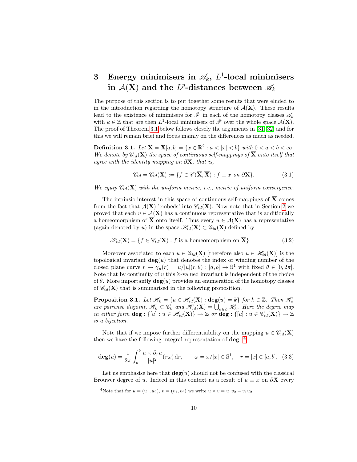## <span id="page-10-0"></span>3 Energy minimisers in  $\mathscr{A}_k$ ,  $L^1$ -local minimisers in  $\mathcal{A}(\mathbf{X})$  and the  $L^p$ -distances between  $\mathscr{A}_k$

The purpose of this section is to put together some results that were eluded to in the introduction regarding the homotopy structure of  $A(X)$ . These results lead to the existence of minimisers for  $\mathscr F$  in each of the homotopy classes  $\mathscr A_k$ with  $k \in \mathbb{Z}$  that are then  $L^1$ -local minimisers of  $\mathscr{F}$  over the whole space  $\mathcal{A}(\mathbf{X})$ . The proof of Theorem [3.1](#page-11-0) below follows closely the arguments in [\[31,](#page-30-1) [32\]](#page-30-2) and for this we will remain brief and focus mainly on the differences as much as needed.

Definition 3.1. Let  $X = X[a, b] = \{x \in \mathbb{R}^2 : a < |x| < b\}$  with  $0 < a < b < \infty$ . We denote by  $\mathscr{C}_{id}(\mathbf{X})$  the space of continuous self-mappings of  $\overline{\mathbf{X}}$  onto itself that agree with the identity mapping on  $\partial X$ , that is,

$$
\mathscr{C}_{id} = \mathscr{C}_{id}(\mathbf{X}) := \{ f \in \mathscr{C}(\overline{\mathbf{X}}, \overline{\mathbf{X}}) : f \equiv x \text{ on } \partial \mathbf{X} \}. \tag{3.1}
$$

We equip  $\mathscr{C}_{id}(\mathbf{X})$  with the uniform metric, i.e., metric of uniform convergence.

The intrinsic interest in this space of continuous self-mappings of  $\overline{X}$  comes from the fact that  $\mathcal{A}(\mathbf{X})$  'embeds' into  $\mathcal{C}_{id}(\mathbf{X})$ . Now note that in Section [2](#page-4-0) we proved that each  $u \in \mathcal{A}(\mathbf{X})$  has a continuous representative that is additionally a homeomorphism of  $\overline{X}$  onto itself. Thus every  $u \in \mathcal{A}(X)$  has a representative (again denoted by u) in the space  $\mathscr{H}_{id}(\mathbf{X}) \subset \mathscr{C}_{id}(\mathbf{X})$  defined by

$$
\mathcal{H}_{id}(\mathbf{X}) = \{ f \in \mathcal{C}_{id}(\mathbf{X}) : f \text{ is a homeomorphism on } \overline{\mathbf{X}} \}
$$
(3.2)

Moreover associated to each  $u \in \mathscr{C}_{id}(\mathbf{X})$  [therefore also  $u \in \mathscr{H}_{id}(\mathbf{X})$ ] is the topological invariant  $deg(u)$  that denotes the index or winding number of the closed plane curve  $r \mapsto \gamma_u(r) = u/|u|(r, \theta) : [a, b] \to \mathbb{S}^1$  with fixed  $\theta \in [0, 2\pi]$ . Note that by continuity of  $u$  this  $\mathbb{Z}$ -valued invariant is independent of the choice of  $\theta$ . More importantly  $deg(u)$  provides an enumeration of the homotopy classes of  $\mathscr{C}_{id}(\mathbf{X})$  that is summarised in the following proposition.

**Proposition 3.1.** Let  $\mathcal{H}_k = \{u \in \mathcal{H}_{id}(\mathbf{X}) : \text{deg}(u) = k\}$  for  $k \in \mathbb{Z}$ . Then  $\mathcal{H}_k$ are pairwise disjoint,  $\mathscr{H}_k \subset \mathscr{C}_k$  and  $\mathscr{H}_{id}(\mathbf{X}) = \bigcup_{k \in \mathbb{Z}} \mathscr{H}_k$ . Here the degree map in either form  $\deg: \{[u]: u \in \mathscr{H}_{id}(\mathbf{X})\} \to \mathbb{Z}$  or  $\deg: \{[u]: u \in \mathscr{C}_{id}(\mathbf{X})\} \to \mathbb{Z}$ is a bijection.

Note that if we impose further differentiability on the mapping  $u \in \mathscr{C}_{id}(\mathbf{X})$ then we have the following integral representation of **deg**: <sup>[4](#page-10-1)</sup>

<span id="page-10-2"></span>
$$
\deg(u) = \frac{1}{2\pi} \int_a^b \frac{u \times \partial_r u}{|u|^2} (r\omega) dr, \qquad \omega = x/|x| \in \mathbb{S}^1, \quad r = |x| \in [a, b]. \tag{3.3}
$$

Let us emphasise here that  $deg(u)$  should not be confused with the classical Brouwer degree of u. Indeed in this context as a result of  $u \equiv x$  on  $\partial X$  every

<span id="page-10-1"></span><sup>4</sup>Note that for  $u = (u_1, u_2), v = (v_1, v_2)$  we write  $u \times v = u_1v_2 - v_1u_2$ .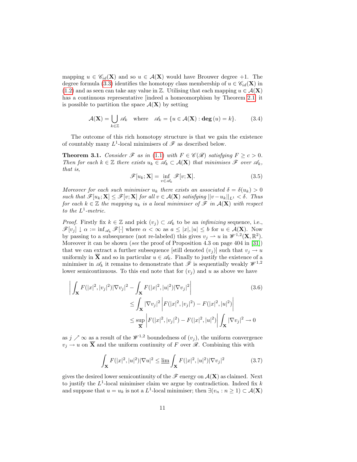mapping  $u \in \mathscr{C}_{id}(\mathbf{X})$  and so  $u \in \mathcal{A}(\mathbf{X})$  would have Brouwer degree +1. The degree formula [\(3.3\)](#page-10-2) identifies the homotopy class membership of  $u \in \mathcal{C}_{id}(\mathbf{X})$  in [\(1.2\)](#page-2-2) and as seen can take any value in  $\mathbb Z$ . Utilising that each mapping  $u \in \mathcal A(\mathbf X)$ has a continuous representative [indeed a homeomorphism by Theorem [2.1\]](#page-5-0) it is possible to partition the space  $\mathcal{A}(\mathbf{X})$  by setting

$$
\mathcal{A}(\mathbf{X}) = \bigcup_{k \in \mathbb{Z}} \mathscr{A}_k \quad \text{where} \quad \mathscr{A}_k = \{ u \in \mathcal{A}(\mathbf{X}) : \deg(u) = k \}. \tag{3.4}
$$

The outcome of this rich homotopy structure is that we gain the existence of countably many  $L^1$ -local minimisers of  $\mathscr F$  as described below.

<span id="page-11-0"></span>**Theorem 3.1.** Consider  $\mathscr F$  as in [\(1.1\)](#page-1-0) with  $F \in \mathscr C(\mathscr R)$  satisfying  $F \ge c > 0$ . Then for each  $k \in \mathbb{Z}$  there exists  $u_k \in \mathscr{A}_k \subset \mathcal{A}(\mathbf{X})$  that minimises  $\mathscr{F}$  over  $\mathscr{A}_k$ , that is,

$$
\mathscr{F}[u_k; \mathbf{X}] = \inf_{v \in \mathscr{A}_k} \mathscr{F}[v; \mathbf{X}]. \tag{3.5}
$$

Moreover for each such minimiser  $u_k$  there exists an associated  $\delta = \delta(u_k) > 0$ such that  $\mathscr{F}[u_k; \mathbf{X}] \leq \mathscr{F}[v; \mathbf{X}]$  for all  $v \in \mathcal{A}(\mathbf{X})$  satisfying  $||v - u_k||_{L^1} < \delta$ . Thus for each  $k \in \mathbb{Z}$  the mapping  $u_k$  is a local minimiser of  $\mathscr{F}$  in  $\mathcal{A}(\mathbf{X})$  with respect to the  $L^1$ -metric.

*Proof.* Firstly fix  $k \in \mathbb{Z}$  and pick  $(v_i) \subset \mathcal{A}_k$  to be an *infimizing* sequence, i.e.,  $\mathscr{F}[v_j] \downarrow \alpha := \inf_{\mathscr{A}_k} \mathscr{F}[\cdot]$  where  $\alpha < \infty$  as  $a \leq |x|, |u| \leq b$  for  $u \in \mathcal{A}(\mathbf{X})$ . Now by passing to a subsequence (not re-labeled) this gives  $v_j \to u$  in  $\mathscr{W}^{1,2}(\mathbf{X}, \mathbb{R}^2)$ . Moreover it can be shown (see the proof of Proposition 4.3 on page 404 in [\[31\]](#page-30-1)) that we can extract a further subsequence [still denoted  $(v_j)$ ] such that  $v_j \to u$ uniformly in  $\overline{X}$  and so in particular  $u \in \mathscr{A}_k$ . Finally to justify the existence of a minimiser in  $\mathscr{A}_k$  it remains to demonstrate that  $\mathscr F$  is sequentially weakly  $\mathscr W^{1,2}$ lower semicontinuous. To this end note that for  $(v_i)$  and u as above we have

$$
\left| \int_{\mathbf{X}} F(|x|^2, |v_j|^2) |\nabla v_j|^2 - \int_{\mathbf{X}} F(|x|^2, |u|^2) |\nabla v_j|^2 \right| \tag{3.6}
$$
\n
$$
\leq \int_{\mathbf{X}} |\nabla v_j|^2 \left| F(|x|^2, |v_j|^2) - F(|x|^2, |u|^2) \right|
$$
\n
$$
\leq \sup_{\overline{\mathbf{X}}} \left| F(|x|^2, |v_j|^2) - F(|x|^2, |u|^2) \right| \int_{\mathbf{X}} |\nabla v_j|^2 \to 0
$$

as  $j \nearrow \infty$  as a result of the  $\mathcal{W}^{1,2}$  boundedness of  $(v_i)$ , the uniform convergence  $v_i \to u$  on  $\overline{\mathbf{X}}$  and the uniform continuity of F over  $\mathscr{R}$ . Combining this with

$$
\int_{\mathbf{X}} F(|x|^2, |u|^2) |\nabla u|^2 \le \lim_{\Delta} \int_{\mathbf{X}} F(|x|^2, |u|^2) |\nabla v_j|^2 \tag{3.7}
$$

gives the desired lower semicontinuity of the  $\mathscr F$  energy on  $\mathcal A(\mathbf X)$  as claimed. Next to justify the  $L^1$ -local minimiser claim we argue by contradiction. Indeed fix k and suppose that  $u = u_k$  is not a  $L^1$ -local minimiser; then  $\exists (v_n : n \ge 1) \subset \mathcal{A}(\mathbf{X})$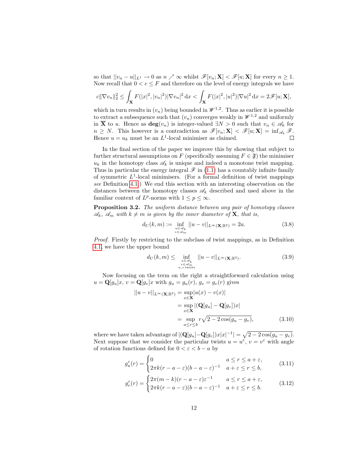so that  $||v_n - u||_{L^1} \to 0$  as  $n \nearrow \infty$  whilst  $\mathscr{F}[v_n; \mathbf{X}] < \mathscr{F}[u; \mathbf{X}]$  for every  $n \geq 1$ . Now recall that  $0 < c \leq F$  and therefore on the level of energy integrals we have

$$
c||\nabla v_n||_2^2 \leq \int_{\mathbf{X}} F(|x|^2, |v_n|^2) |\nabla v_n|^2 \, dx < \int_{\mathbf{X}} F(|x|^2, |u|^2) |\nabla u|^2 \, dx = 2\mathscr{F}[u; \mathbf{X}],
$$

which in turn results in  $(v_n)$  being bounded in  $\mathcal{W}^{1,2}$ . Thus as earlier it is possible to extract a subsequence such that  $(v_n)$  converges weakly in  $\mathscr{W}^{1,2}$  and uniformly in  $\overline{X}$  to u. Hence as  $deg(v_n)$  is integer-valued  $\exists N > 0$  such that  $v_n \in \mathscr{A}_k$  for  $n \geq N$ . This however is a contradiction as  $\mathscr{F}[v_n; \mathbf{X}] < \mathscr{F}[u; \mathbf{X}] = \inf_{\mathscr{A}_k} \mathscr{F}$ . Hence  $u = u_k$  must be an  $L^1$ -local minimiser as claimed.  $\Box$ 

In the final section of the paper we improve this by showing that subject to further structural assumptions on F (specifically assuming  $F \in \mathfrak{F}$ ) the minimiser  $u_k$  in the homotopy class  $\mathscr{A}_k$  is unique and indeed a monotone twist mapping. Thus in particular the energy integral  $\mathscr F$  in [\(1.1\)](#page-1-0) has a countably infinite family of symmetric  $L^1$ -local minimisers. (For a formal definition of twist mappings see Definition [4.1.](#page-14-2)) We end this section with an interesting observation on the distances between the homotopy classes  $\mathscr{A}_k$  described and used above in the familiar context of  $L^p$ -norms with  $1 \leq p \leq \infty$ .

<span id="page-12-0"></span>Proposition 3.2. The uniform distance between any pair of homotopy classes  $\mathscr{A}_k$ ,  $\mathscr{A}_m$  with  $k \neq m$  is given by the inner diameter of **X**, that is,

$$
d_U(k,m) := \inf_{\substack{u \in \mathscr{A}_k \\ v \in \mathscr{A}_m}} ||u - v||_{L^{\infty}(\mathbf{X}; \mathbb{R}^2)} = 2a.
$$
 (3.8)

Proof. Firstly by restricting to the subclass of twist mappings, as in Definition [4.1,](#page-14-2) we have the upper bound

$$
d_U(k,m) \leq \inf_{\substack{u \in \mathscr{A}_k \\ v \in \mathscr{A}_m \\ u, v \text{ twists}}} ||u - v||_{L^{\infty}(\mathbf{X}; \mathbb{R}^2)}.
$$
 (3.9)

Now focusing on the term on the right a straightforward calculation using  $u = \mathbf{Q}[g_u]x, v = \mathbf{Q}[g_v]x$  with  $g_u = g_u(r), g_v = g_v(r)$  gives

$$
||u - v||_{L^{\infty}(\mathbf{X};\mathbb{R}^2)} = \sup_{x \in \mathbf{X}} |u(x) - v(x)|
$$
  
= 
$$
\sup_{x \in \mathbf{X}} |(\mathbf{Q}[g_u] - \mathbf{Q}[g_v])x|
$$
  
= 
$$
\sup_{a \le r \le b} r\sqrt{2 - 2\cos(g_u - g_v)},
$$
 (3.10)

where we have taken advantage of  $|(\mathbf{Q}[g_u] - \mathbf{Q}[g_v])x|x|^{-1}| = \sqrt{2 - 2\cos(g_u - g_v)}$ . Next suppose that we consider the particular twists  $u = u^{\varepsilon}$ ,  $v = v^{\varepsilon}$  with angle of rotation functions defined for  $0 < \varepsilon < b - a$  by

$$
g_u^{\varepsilon}(r) = \begin{cases} 0 & a \le r \le a + \varepsilon, \\ 2\pi k(r - a - \varepsilon)(b - a - \varepsilon)^{-1} & a + \varepsilon \le r \le b, \end{cases}
$$
(3.11)

$$
g_v^{\varepsilon}(r) = \begin{cases} 2\pi(m-k)(r-a-\varepsilon)\varepsilon^{-1} & a \le r \le a+\varepsilon, \\ 2\pi k(r-a-\varepsilon)(b-a-\varepsilon)^{-1} & a+\varepsilon \le r \le b. \end{cases}
$$
 (3.12)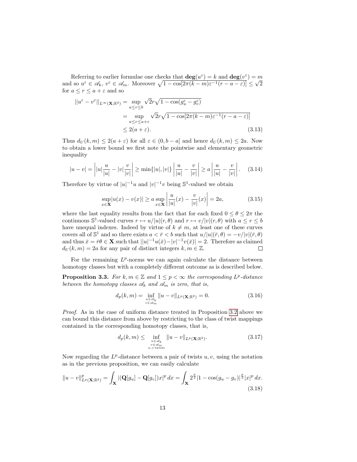Referring to earlier formulae one checks that  $\deg(u^{\varepsilon}) = k$  and  $\deg(v^{\varepsilon}) = m$ and so  $u^{\varepsilon} \in \mathscr{A}_k$ ,  $v^{\varepsilon} \in \mathscr{A}_m$ . Moreover  $\sqrt{1 - \cos[2\pi(k-m)\varepsilon^{-1}(r-a-\varepsilon)]} \leq \sqrt{2}$ for  $a \leq r \leq a + \varepsilon$  and so

$$
||u^{\varepsilon} - v^{\varepsilon}||_{L^{\infty}(\mathbf{X};\mathbb{R}^{2})} = \sup_{a \le r \le b} \sqrt{2}r\sqrt{1 - \cos(g_{u}^{\varepsilon} - g_{v}^{\varepsilon})}
$$
  
= 
$$
\sup_{a \le r \le a+\varepsilon} \sqrt{2}r\sqrt{1 - \cos[2\pi(k-m)\varepsilon^{-1}(r-a-\varepsilon)]}
$$
  

$$
\le 2(a+\varepsilon).
$$
 (3.13)

Thus  $d_U(k,m) \leq 2(a+\varepsilon)$  for all  $\varepsilon \in (0,b-a]$  and hence  $d_U(k,m) \leq 2a$ . Now to obtain a lower bound we first note the pointwise and elementary geometric inequality

$$
|u - v| = \left| |u| \frac{u}{|u|} - |v| \frac{v}{|v|} \right| \ge \min\{|u|, |v|\} \left| \frac{u}{|u|} - \frac{v}{|v|} \right| \ge a \left| \frac{u}{|u|} - \frac{v}{|v|} \right|.
$$
 (3.14)

Therefore by virtue of  $|u|^{-1}u$  and  $|v|^{-1}v$  being  $\mathbb{S}^1$ -valued we obtain

$$
\sup_{x \in \mathbf{X}} |u(x) - v(x)| \ge a \sup_{x \in \mathbf{X}} \left| \frac{u}{|u|}(x) - \frac{v}{|v|}(x) \right| = 2a,
$$
\n(3.15)

where the last equality results from the fact that for each fixed  $0 \le \theta \le 2\pi$  the continuous  $\mathbb{S}^1$ -valued curves  $r \mapsto u/|u|(r,\theta)$  and  $r \mapsto v/|v|(r,\theta)$  with  $a \leq r \leq b$ have unequal indexes. Indeed by virtue of  $k \neq m$ , at least one of these curves covers all of  $\mathbb{S}^1$  and so there exists  $a < \bar{r} < b$  such that  $u/|u|(\bar{r}, \theta) = -v/|v|(\bar{r}, \theta)$ and thus  $\bar{x} = \bar{r}\theta \in \mathbf{X}$  such that  $||u|^{-1}u(\bar{x}) - |v|^{-1}v(\bar{x})| = 2$ . Therefore as claimed  $d_U(k,m) = 2a$  for any pair of distinct integers  $k, m \in \mathbb{Z}$ .  $\Box$ 

For the remaining  $L^p$ -norms we can again calculate the distance between homotopy classes but with a completely different outcome as is described below.

**Proposition 3.3.** For  $k, m \in \mathbb{Z}$  and  $1 \leq p < \infty$  the corresponding  $L^p$ -distance between the homotopy classes  $\mathcal{A}_k$  and  $\mathcal{A}_m$  is zero, that is,

$$
d_p(k,m) = \inf_{\substack{u \in \mathscr{A}_k \\ v \in \mathscr{A}_m}} \|u - v\|_{L^p(\mathbf{X};\mathbb{R}^2)} = 0.
$$
 (3.16)

Proof. As in the case of uniform distance treated in Proposition [3.2](#page-12-0) above we can bound this distance from above by restricting to the class of twist mappings contained in the corresponding homotopy classes, that is,

$$
d_p(k,m) \leq \inf_{\substack{u \in \mathscr{A}_k \\ v \in \mathscr{A}_m \\ u, v \text{ twists}}} \|u - v\|_{L^p(\mathbf{X};\mathbb{R}^2)}.
$$
 (3.17)

Now regarding the  $L^p$ -distance between a pair of twists  $u, v$ , using the notation as in the previous proposition, we can easily calculate

$$
||u - v||_{L^{p}(\mathbf{X};\mathbb{R}^{2})}^{p} = \int_{\mathbf{X}} |(\mathbf{Q}[g_{u}] - \mathbf{Q}[g_{v}])x|^{p} dx = \int_{\mathbf{X}} 2^{\frac{p}{2}} |1 - \cos(g_{u} - g_{v})|^{\frac{p}{2}} |x|^{p} dx.
$$
\n(3.18)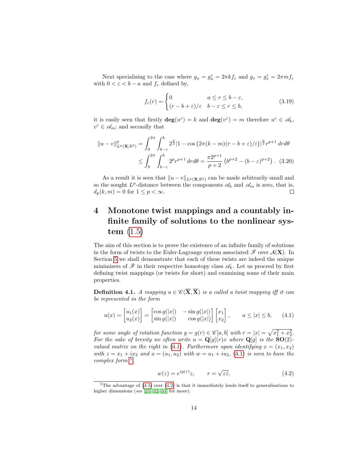Next specialising to the case where  $g_u = g_u^{\varepsilon} = 2\pi k f_{\varepsilon}$  and  $g_v = g_v^{\varepsilon} = 2\pi mf_{\varepsilon}$ with  $0 < \varepsilon < b - a$  and  $f_{\varepsilon}$  defined by,

$$
f_{\varepsilon}(r) = \begin{cases} 0 & a \le r \le b - \varepsilon, \\ (r - b + \varepsilon)/\varepsilon & b - \varepsilon \le r \le b, \end{cases}
$$
(3.19)

it is easily seen that firstly  $\deg(u^{\varepsilon}) = k$  and  $\deg(v^{\varepsilon}) = m$  therefore  $u^{\varepsilon} \in \mathscr{A}_k$ ,  $v^{\varepsilon} \in \mathscr{A}_m$ ; and secondly that

$$
||u - v||_{L^{p}(\mathbf{X};\mathbb{R}^{2})}^{p} = \int_{0}^{2\pi} \int_{b-\varepsilon}^{b} 2^{\frac{p}{2}} |1 - \cos(2\pi(k-m)(r-b+\varepsilon)/\varepsilon)|^{\frac{p}{2}} r^{p+1} dr d\theta
$$
  
\$\leq \int\_{0}^{2\pi} \int\_{b-\varepsilon}^{b} 2^{p} r^{p+1} dr d\theta = \frac{\pi 2^{p+1}}{p+2} (b^{p+2} - (b-\varepsilon)^{p+2}). (3.20)

As a result it is seen that  $||u - v||_{L^p(\mathbf{X};\mathbb{R}^2)}$  can be made arbitrarily small and so the sought  $L^p$ -distance between the components  $\mathscr{A}_k$  and  $\mathscr{A}_m$  is zero, that is,  $d_p(k, m) = 0$  for  $1 \leq p < \infty$ . П

#### <span id="page-14-1"></span>4 Monotone twist mappings and a countably infinite family of solutions to the nonlinear system [\(1.5\)](#page-3-1)

The aim of this section is to prove the existence of an infinite family of solutions in the form of twists to the Euler-Lagrange system associated  $\mathscr F$  over  $\mathcal A(\mathbf{X})$ . In Section [5](#page-18-0) we shall demonstrate that each of these twists are indeed the unique minimisers of  $\mathscr F$  in their respective homotopy class  $\mathscr A_k$ . Let us proceed by first defining twist mappings (or twists for short) and examining some of their main properties.

<span id="page-14-2"></span>**Definition 4.1.** A mapping  $u \in \mathscr{C}(\overline{\mathbf{X}}, \overline{\mathbf{X}})$  is a called a twist mapping iff it can be represented in the form

$$
u(x) = \begin{bmatrix} u_1(x) \\ u_2(x) \end{bmatrix} = \begin{bmatrix} \cos g(|x|) & -\sin g(|x|) \\ \sin g(|x|) & \cos g(|x|) \end{bmatrix} \begin{bmatrix} x_1 \\ x_2 \end{bmatrix}, \qquad a \le |x| \le b,\tag{4.1}
$$

for some angle of rotation function  $g = g(r) \in \mathscr{C}[a, b]$  with  $r = |x| = \sqrt{x_1^2 + x_2^2}$ . For the sake of brevity we often write  $u = \mathbf{Q}[g](r)x$  where  $\mathbf{Q}[g]$  is the  $\mathbf{SO}(2)$ -valued matrix on the right in [\(4.1\)](#page-14-0). Furthermore upon identifying  $x = (x_1, x_2)$ with  $z = x_1 + ix_2$  and  $u = (u_1, u_2)$  with  $w = u_1 + iu_2$ , [\(4.1\)](#page-14-0) is seen to have the complex form [5](#page-14-3)

<span id="page-14-4"></span><span id="page-14-0"></span>
$$
w(z) = e^{ig(r)}z, \qquad r = \sqrt{z\bar{z}}.
$$
 (4.2)

<span id="page-14-3"></span><sup>&</sup>lt;sup>5</sup>The advantage of  $(4.1)$  over  $(4.2)$  is that it immediately lends itself to generalisations to higher dimensions (see [\[25,](#page-29-13) [32,](#page-30-2) [33\]](#page-30-0) for more).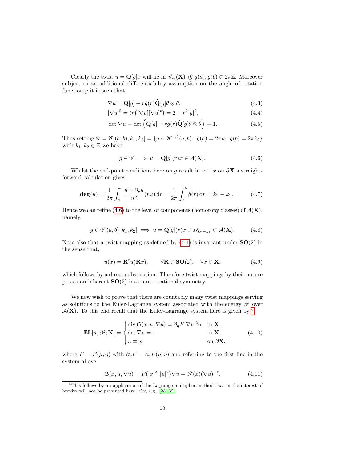Clearly the twist  $u = \mathbf{Q}[g]x$  will lie in  $\mathscr{C}_{id}(\mathbf{X})$  iff  $g(a), g(b) \in 2\pi\mathbb{Z}$ . Moreover subject to an additional differentiability assumption on the angle of rotation function  $g$  it is seen that

$$
\nabla u = \mathbf{Q}[g] + r\dot{g}(r)\dot{\mathbf{Q}}[g]\theta \otimes \theta,\tag{4.3}
$$

$$
|\nabla u|^2 = tr\{[\nabla u][\nabla u]^t\} = 2 + r^2|\dot{g}|^2,
$$
\n(4.4)

$$
\det \nabla u = \det \left( \mathbf{Q}[g] + r\dot{g}(r)\dot{\mathbf{Q}}[g]\theta \otimes \theta \right) = 1. \tag{4.5}
$$

Thus setting  $\mathscr{G} = \mathscr{G}[(a, b); k_1, k_2] = \{g \in \mathscr{W}^{1,2}(a, b) : g(a) = 2\pi k_1, g(b) = 2\pi k_2\}$ with  $k_1, k_2 \in \mathbb{Z}$  we have

<span id="page-15-0"></span>
$$
g \in \mathscr{G} \implies u = \mathbf{Q}[g](r)x \in \mathcal{A}(\mathbf{X}).\tag{4.6}
$$

Whilst the end-point conditions here on g result in  $u \equiv x$  on  $\partial X$  a straightforward calculation gives

$$
\deg(u) = \frac{1}{2\pi} \int_{a}^{b} \frac{u \times \partial_r u}{|u|^2} (r\omega) dr = \frac{1}{2\pi} \int_{a}^{b} \dot{g}(r) dr = k_2 - k_1.
$$
 (4.7)

Hence we can refine [\(4.6\)](#page-15-0) to the level of components (homotopy classes) of  $\mathcal{A}(\mathbf{X})$ , namely,

$$
g \in \mathscr{G}[(a,b);k_1,k_2] \implies u = \mathbf{Q}[g](r)x \in \mathscr{A}_{k_2 - k_1} \subset \mathcal{A}(\mathbf{X}). \tag{4.8}
$$

Note also that a twist mapping as defined by  $(4.1)$  is invariant under  $SO(2)$  in the sense that,

$$
u(x) = \mathbf{R}^t u(\mathbf{R}x), \qquad \forall \mathbf{R} \in \mathbf{SO}(2), \quad \forall x \in \mathbf{X}, \tag{4.9}
$$

which follows by a direct substitution. Therefore twist mappings by their nature posses an inherent  $SO(2)$ -invariant rotational symmetry.

We now wish to prove that there are countably many twist mappings serving as solutions to the Euler-Lagrange system associated with the energy  $\mathscr F$  over  $A(X)$ . To this end recall that the Euler-Lagrange system here is given by <sup>[6](#page-15-1)</sup>

$$
\mathbb{EL}[u,\mathscr{P};\mathbf{X}] = \begin{cases} \operatorname{div} \mathfrak{S}(x,u,\nabla u) = \partial_{\eta} F |\nabla u|^2 u & \text{in } \mathbf{X}, \\ \operatorname{det} \nabla u = 1 & \text{in } \mathbf{X}, \\ u \equiv x & \text{on } \partial \mathbf{X}, \end{cases}
$$
(4.10)

where  $F = F(\mu, \eta)$  with  $\partial_{\eta} F = \partial_{\eta} F(\mu, \eta)$  and referring to the first line in the system above

<span id="page-15-2"></span>
$$
\mathfrak{S}(x, u, \nabla u) = F(|x|^2, |u|^2) \nabla u - \mathcal{P}(x) (\nabla u)^{-t}.
$$
 (4.11)

<span id="page-15-1"></span><sup>6</sup>This follows by an application of the Lagrange multiplier method that in the interest of brevity will not be presented here. See, e.g., [\[23,](#page-29-4) [32\]](#page-30-2).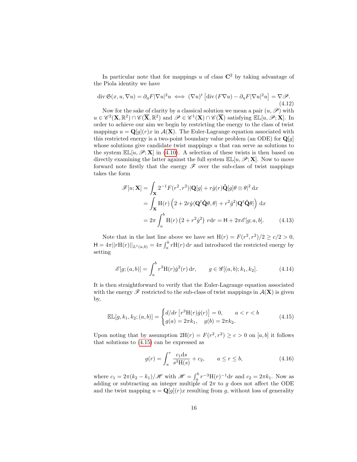In particular note that for mappings u of class  $\mathbb{C}^2$  by taking advantage of the Piola identity we have

<span id="page-16-1"></span>
$$
\operatorname{div} \mathfrak{S}(x, u, \nabla u) = \partial_{\eta} F |\nabla u|^2 u \iff (\nabla u)^t \left[ \operatorname{div} (F \nabla u) - \partial_{\eta} F |\nabla u|^2 u \right] = \nabla \mathcal{P}.
$$
\n(4.12)

Now for the sake of clarity by a classical solution we mean a pair  $(u, \mathscr{P})$  with  $u \in \mathscr{C}^2(\mathbf{X}, \mathbb{R}^2) \cap \mathscr{C}(\overline{\mathbf{X}}, \mathbb{R}^2)$  and  $\mathscr{P} \in \mathscr{C}^1(\mathbf{X}) \cap \mathscr{C}(\overline{\mathbf{X}})$  satisfying  $\mathbb{E} \mathbb{L}[u, \mathscr{P}; \mathbf{X}]$ . In order to achieve our aim we begin by restricting the energy to the class of twist mappings  $u = \mathbf{Q}[g](r)x$  in  $\mathcal{A}(\mathbf{X})$ . The Euler-Lagrange equation associated with this restricted energy is a two-point boundary value problem (an ODE) for  $\mathbf{Q}[g]$ whose solutions give candidate twist mappings  $u$  that can serve as solutions to the system  $\mathbb{EL}[u,\mathscr{P};\mathbf{X}]$  in [\(4.10\)](#page-15-2). A selection of these twists is then based on directly examining the latter against the full system  $\mathbb{EL}[u,\mathscr{P};\mathbf{X}]$ . Now to move forward note firstly that the energy  $\mathscr F$  over the sub-class of twist mappings takes the form

<span id="page-16-2"></span>
$$
\mathscr{F}[u; \mathbf{X}] = \int_{\mathbf{X}} 2^{-1} F(r^2, r^2) |\mathbf{Q}[g] + r \dot{g}(r) \dot{\mathbf{Q}}[g] \theta \otimes \theta|^2 dx
$$
  
= 
$$
\int_{\mathbf{X}} \mathbf{H}(r) \left( 2 + 2r \dot{g} \langle \mathbf{Q}^t \dot{\mathbf{Q}} \theta, \theta \rangle + r^2 \dot{g}^2 |\mathbf{Q}^t \dot{\mathbf{Q}} \theta| \right) dx
$$
  
= 
$$
2\pi \int_a^b \mathbf{H}(r) \left( 2 + r^2 \dot{g}^2 \right) r dr = \mathbf{H} + 2\pi \mathscr{E}[g; a, b]. \tag{4.13}
$$

Note that in the last line above we have set  $H(r) = F(r^2, r^2)/2 \ge c/2 > 0$ ,  $H = 4\pi ||rH(r)||_{L^{1}(a,b)} = 4\pi \int_{a}^{b} rH(r) dr$  and introduced the restricted energy by setting

$$
\mathcal{E}[g; (a, b)] = \int_a^b r^3 \mathcal{H}(r) \dot{g}^2(r) dr, \qquad g \in \mathcal{G}[(a, b); k_1, k_2].
$$
 (4.14)

It is then straightforward to verify that the Euler-Lagrange equation associated with the energy  $\mathscr F$  restricted to the sub-class of twist mappings in  $\mathcal A(\mathbf X)$  is given by,

$$
\mathbb{EL}[g, k_1, k_2; (a, b)] = \begin{cases} d/dr \left[ r^3 \mathcal{H}(r) \dot{g}(r) \right] = 0, & a < r < b \\ g(a) = 2\pi k_1, & g(b) = 2\pi k_2. \end{cases}
$$
(4.15)

Upon noting that by assumption  $2H(r) = F(r^2, r^2) \ge c > 0$  on [a, b] it follows that solutions to [\(4.15\)](#page-16-0) can be expressed as

<span id="page-16-3"></span><span id="page-16-0"></span>
$$
g(r) = \int_{a}^{r} \frac{c_1 ds}{s^3 H(s)} + c_2, \qquad a \le r \le b,
$$
 (4.16)

where  $c_1 = 2\pi (k_2 - k_1)/\mathscr{H}$  with  $\mathscr{H} = \int_a^b r^{-3}H(r)^{-1}dr$  and  $c_2 = 2\pi k_1$ . Now as adding or subtracting an integer multiple of  $2\pi$  to g does not affect the ODE and the twist mapping  $u = \mathbf{Q}[g](r)x$  resulting from g, without loss of generality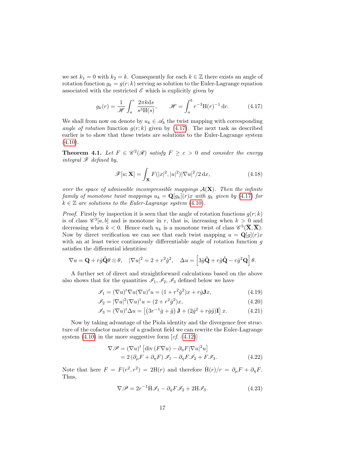we set  $k_1 = 0$  with  $k_2 = k$ . Consequently for each  $k \in \mathbb{Z}$  there exists an angle of rotation function  $g_k = g(r; k)$  serving as solution to the Euler-Lagrange equation associated with the restricted  $\mathscr E$  which is explicitly given by

$$
g_k(r) = \frac{1}{\mathcal{H}} \int_a^r \frac{2\pi k \mathrm{d}s}{s^3 \mathrm{H}(s)}, \qquad \mathcal{H} = \int_a^b r^{-3} \mathrm{H}(r)^{-1} \mathrm{d}r. \tag{4.17}
$$

We shall from now on denote by  $u_k \in \mathscr{A}_k$  the twist mapping with corresponding angle of rotation function  $g(r; k)$  given by (4.[17\)](#page-17-1). The next task as described earlier is to show that these twists are solutions to the Euler-Lagrange system  $(4.10).$  $(4.10).$  $(4.10).$ 

<span id="page-17-0"></span>**Theorem 4.1.** Let  $F \in \mathscr{C}^2(\mathscr{R})$  satisfy  $F \geq c > 0$  and consider the energy integral  $\mathscr F$  defined by,

<span id="page-17-1"></span>
$$
\mathscr{F}[u; \mathbf{X}] = \int_{\mathbf{X}} F(|x|^2, |u|^2) |\nabla u|^2 / 2 \, \mathrm{d}x,\tag{4.18}
$$

over the space of admissible incompressible mappings  $A(X)$ . Then the infinite family of monotone twist mappings  $u_k = \mathbf{Q}[g_k](r)x$  with  $g_k$  given by (4.[17\)](#page-17-1) for  $k \in \mathbb{Z}$  are solutions to the Euler-Lagrange system [\(4.10\)](#page-15-2).

*Proof.* Firstly by inspection it is seen that the angle of rotation functions  $g(r; k)$ is of class  $\mathscr{C}^3[a,b]$  and is monotone in r, that is, increasing when  $k > 0$  and decreasing when  $k < 0$ . Hence each  $u_k$  is a monotone twist of class  $\mathscr{C}^3(\overline{X}, \overline{X})$ . Now by direct verification we can see that each twist mapping  $u = \mathbf{Q}[g](r)x$ with an at least twice continuously differentiable angle of rotation function  $q$ satisfies the differential identities:

$$
\nabla u = \mathbf{Q} + r\dot{g}\dot{\mathbf{Q}}\theta \otimes \theta, \quad |\nabla u|^2 = 2 + r^2\dot{g}^2, \quad \Delta u = \left[3\dot{g}\dot{\mathbf{Q}} + r\ddot{g}\dot{\mathbf{Q}} - r\dot{g}^2\mathbf{Q}\right]\theta.
$$

A further set of direct and straightforward calculations based on the above also shows that for the quantities  $\mathcal{I}_1, \mathcal{I}_2, \mathcal{I}_3$  defined below we have

$$
\mathcal{J}_1 = (\nabla u)^t \nabla u (\nabla u)^t u = (1 + r^2 \dot{g}^2) x + r \dot{g} \mathbf{J} x,\tag{4.19}
$$

$$
\mathcal{I}_2 = |\nabla u|^2 (\nabla u)^t u = (2 + r^2 \dot{g}^2) x,\tag{4.20}
$$

$$
\mathcal{J}_3 = (\nabla u)^t \Delta u = \left[ \left( 3r^{-1}\dot{g} + \ddot{g} \right) \mathbf{J} + (2\dot{g}^2 + r\dot{g}\ddot{g})\mathbf{I} \right] x. \tag{4.21}
$$

Now by taking advantage of the Piola identity and the divergence free structure of the cofactor matrix of a gradient field we can rewrite the Euler-Lagrange system  $(4.10)$  $(4.10)$  in the more suggestive form  $cf. (4.12)$  $cf. (4.12)$ 

$$
\nabla \mathcal{P} = (\nabla u)^t \left[ \text{div} \left( F \nabla u \right) - \partial_\eta F |\nabla u|^2 u \right]
$$
  
= 2 \left( \partial\_\mu F + \partial\_\eta F \right) \mathcal{I}\_1 - \partial\_\eta F \mathcal{I}\_2 + F \mathcal{I}\_3. (4.22)

Note that here  $F = F(r^2, r^2) = 2H(r)$  and therefore  $\dot{H}(r)/r = \partial_\mu F + \partial_\eta F$ . Thus,

<span id="page-17-2"></span>
$$
\nabla \mathcal{P} = 2r^{-1} \dot{H} \mathcal{I}_1 - \partial_{\eta} F \mathcal{I}_2 + 2H \mathcal{I}_3.
$$
 (4.23)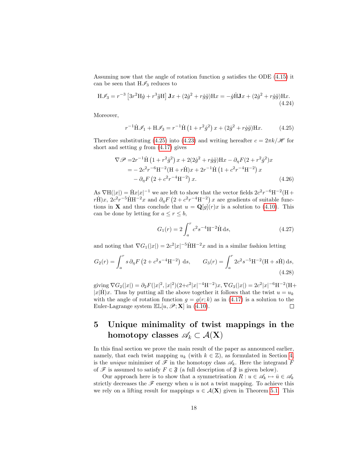Assuming now that the angle of rotation function  $g$  satisfies the ODE (4.[15\)](#page-16-0) it can be seen that  $H\mathscr{I}_3$  reduces to

$$
\mathbf{H}\mathcal{I}_3 = r^{-3} \left[ 3r^2 \mathbf{H}\dot{g} + r^3 \ddot{g} \mathbf{H} \right] \mathbf{J}x + (2\dot{g}^2 + r\dot{g}\ddot{g}) \mathbf{H}x = -\dot{g}\dot{\mathbf{H}}\mathbf{J}x + (2\dot{g}^2 + r\dot{g}\ddot{g})\mathbf{H}x.
$$
\n(4.24)

Moreover,

<span id="page-18-1"></span>
$$
r^{-1}\dot{H}\mathcal{I}_1 + H\mathcal{I}_3 = r^{-1}\dot{H}\left(1 + r^2\dot{g}^2\right)x + (2\dot{g}^2 + r\dot{g}\ddot{g})Hx.
$$
 (4.25)

Therefore substituting (4.[25\)](#page-18-1) into (4.[23\)](#page-17-2) and writing hereafter  $c = 2\pi k/\mathscr{H}$  for short and setting  $g$  from  $(4.17)$  $(4.17)$  gives

$$
\nabla \mathscr{P} = 2r^{-1} \dot{H} (1 + r^2 \dot{g}^2) x + 2(2\dot{g}^2 + r\dot{g}\ddot{g}) H x - \partial_{\eta} F (2 + r^2 \dot{g}^2) x
$$
  
=  $- 2c^2 r^{-6} H^{-2} (H + r \dot{H}) x + 2r^{-1} \dot{H} (1 + c^2 r^{-4} H^{-2}) x$   
 $- \partial_{\eta} F (2 + c^2 r^{-4} H^{-2}) x.$  (4.26)

As  $\nabla H(|x|) = \dot{H}x|x|^{-1}$  we are left to show that the vector fields  $2c^2r^{-6}H^{-2}(H+$  $r\dot{H}$ )x,  $2c^2r^{-5}\dot{H}H^{-2}x$  and  $\partial_\eta F(2+c^2r^{-4}H^{-2})x$  are gradients of suitable functions in **X** and thus conclude that  $u = \mathbf{Q}[g](r)x$  is a solution to (4.[10\)](#page-15-2). This can be done by letting for  $a \le r \le b$ ,

$$
G_1(r) = 2 \int_a^r c^2 s^{-4} H^{-2} \dot{H} ds,
$$
\n(4.27)

and noting that  $\nabla G_1(|x|) = 2c^2|x|^{-5}\dot{H}H^{-2}x$  and in a similar fashion letting

$$
G_2(r) = \int_a^r s \, \partial_\eta F \left( 2 + c^2 s^{-4} \mathcal{H}^{-2} \right) \, \mathrm{d}s, \qquad G_3(r) = \int_a^r 2c^2 s^{-5} \mathcal{H}^{-2} (\mathcal{H} + s\dot{\mathcal{H}}) \, \mathrm{d}s,\tag{4.28}
$$

giving  $\nabla G_2(|x|) = \partial_2 F(|x|^2, |x|^2)(2+c^2|x|^{-4}\mathcal{H}^{-2})x, \nabla G_3(|x|) = 2c^2|x|^{-6}\mathcal{H}^{-2}(\mathcal{H}^+$  $|x|H\rangle x$ . Thus by putting all the above together it follows that the twist  $u = u_k$ with the angle of rotation function  $g = g(r; k)$  as in (4.[17\)](#page-17-1) is a solution to the Euler-Lagrange system  $\mathbb{EL}[u, \mathscr{P}; \mathbf{X}]$  in [\(4.10\)](#page-15-2).  $\Box$ 

### <span id="page-18-0"></span>5 Unique minimality of twist mappings in the homotopy classes  $\mathscr{A}_k \subset \mathcal{A}(\mathbf{X})$

In this final section we prove the main result of the paper as announced earlier, namely, that each twist mapping  $u_k$  (with  $k \in \mathbb{Z}$ ), as formulated in Section [4,](#page-14-1) is the *unique* minimiser of  $\mathscr F$  in the homotopy class  $\mathscr A_k$ . Here the integrand F of  $\mathscr F$  is assumed to satisfy  $F \in \mathfrak F$  (a full description of  $\mathfrak F$  is given below).

Our approach here is to show that a symmetrisation  $R: u \in \mathscr{A}_k \mapsto \bar{u} \in \mathscr{A}_k$ strictly decreases the  $\mathscr F$  energy when u is not a twist mapping. To achieve this we rely on a lifting result for mappings  $u \in \mathcal{A}(\mathbf{X})$  given in Theorem [5.1.](#page-20-0) This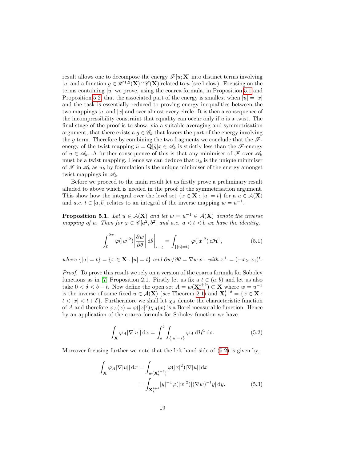result allows one to decompose the energy  $\mathscr{F}[u; \mathbf{X}]$  into distinct terms involving |u| and a function  $g \in \mathscr{W}^{1,2}(\mathbf{X}) \cap \mathscr{C}(\overline{\mathbf{X}})$  related to u (see below). Focusing on the terms containing  $|u|$  we prove, using the coarea formula, in Proposition [5.1](#page-19-0) and Proposition [5.2,](#page-20-1) that the associated part of the energy is smallest when  $|u| = |x|$ and the task is essentially reduced to proving energy inequalities between the two mappings |u| and |x| and over almost every circle. It is then a consequence of the incompressibility constraint that equality can occur only if  $u$  is a twist. The final stage of the proof is to show, via a suitable averaging and symmetrisation argument, that there exists a  $\bar{g} \in \mathscr{G}_k$  that lowers the part of the energy involving the g term. Therefore by combining the two fragments we conclude that the  $\mathscr{F}$ energy of the twist mapping  $\bar{u} = \mathbf{Q}[\bar{g}]x \in \mathscr{A}_k$  is strictly less than the  $\mathscr{F}$ -energy of  $u \in \mathscr{A}_k$ . A further consequence of this is that any minimiser of  $\mathscr{F}$  over  $\mathscr{A}_k$ must be a twist mapping. Hence we can deduce that  $u_k$  is the unique minimiser of  $\mathscr{F}$  in  $\mathscr{A}_k$  as  $u_k$  by formulation is the unique minimiser of the energy amongst twist mappings in  $\mathscr{A}_k$ .

Before we proceed to the main result let us firstly prove a preliminary result alluded to above which is needed in the proof of the symmetrisation argument. This show how the integral over the level set  $\{x \in \mathbf{X} : |u| = t\}$  for a  $u \in \mathcal{A}(\mathbf{X})$ and a.e.  $t \in [a, b]$  relates to an integral of the inverse mapping  $w = u^{-1}$ .

<span id="page-19-0"></span>**Proposition 5.1.** Let  $u \in \mathcal{A}(\mathbf{X})$  and let  $w = u^{-1} \in \mathcal{A}(\mathbf{X})$  denote the inverse mapping of u. Then for  $\varphi \in \mathscr{C}[a^2, b^2]$  and a.e.  $a < t < b$  we have the identity,

$$
\int_0^{2\pi} \varphi(|w|^2) \left| \frac{\partial w}{\partial \theta} \right| d\theta \Big|_{r=t} = \int_{\{|u|=t\}} \varphi(|x|^2) d\mathcal{H}^1,\tag{5.1}
$$

where  $\{|u|=t\} = \{x \in \mathbf{X} : |u|=t\}$  and  $\partial w/\partial \theta = \nabla w \, x^{\perp}$  with  $x^{\perp} = (-x_2, x_1)^t$ .

Proof. To prove this result we rely on a version of the coarea formula for Sobolev functions as in [\[7\]](#page-28-11) Proposition 2.1. Firstly let us fix a  $t \in (a, b)$  and let us also take  $0 < \delta < b - t$ . Now define the open set  $A = w(\mathbf{X}_{t}^{t+\delta}) \subset \mathbf{X}$  where  $w = u^{-1}$ is the inverse of some fixed  $u \in \mathcal{A}(\mathbf{X})$  (see Theorem [2.1\)](#page-5-0) and  $\mathbf{X}_{t}^{t+\delta} = \{x \in \mathbf{X} :$  $t < |x| < t + \delta$ . Furthermore we shall let  $\chi_A$  denote the characteristic function of A and therefore  $\varphi_A(x) = \varphi(|x|^2) \chi_A(x)$  is a Borel measurable function. Hence by an application of the coarea formula for Sobolev function we have

<span id="page-19-1"></span>
$$
\int_{\mathbf{X}} \varphi_A |\nabla |u| \, \mathrm{d}x = \int_a^b \int_{\{|u|=s\}} \varphi_A \, \mathrm{d} \mathcal{H}^1 \, \mathrm{d}s. \tag{5.2}
$$

Moreover focusing further we note that the left hand side of [\(5.2\)](#page-19-1) is given by,

$$
\int_{\mathbf{X}} \varphi_A |\nabla |u| \, \mathrm{d}x = \int_{w(\mathbf{X}_t^{t+\delta})} \varphi(|x|^2) |\nabla |u| \, \mathrm{d}x
$$
\n
$$
= \int_{\mathbf{X}_t^{t+\delta}} |y|^{-1} \varphi(|w|^2) |(\nabla w)^{-t} y| \, \mathrm{d}y. \tag{5.3}
$$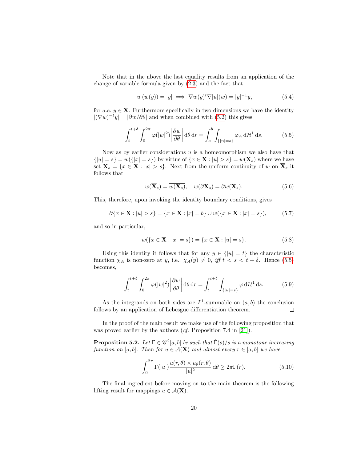Note that in the above the last equality results from an application of the change of variable formula given by [\(2.3\)](#page-5-1) and the fact that

<span id="page-20-3"></span>
$$
|u|(w(y)) = |y| \implies \nabla w(y)^t \nabla |u|(w) = |y|^{-1} y,\tag{5.4}
$$

for a.e.  $y \in \mathbf{X}$ . Furthermore specifically in two dimensions we have the identity  $|(\nabla w)^{-t}y| = |\partial w/\partial \theta|$  and when combined with [\(5.2\)](#page-19-1) this gives

$$
\int_{t}^{t+\delta} \int_{0}^{2\pi} \varphi(|w|^{2}) \left| \frac{\partial w}{\partial \theta} \right| d\theta dr = \int_{a}^{b} \int_{\{|u|=s\}} \varphi_{A} d\mathcal{H}^{1} ds. \tag{5.5}
$$

Now as by earlier considerations  $u$  is a homeomorphism we also have that  $\{|u|=s\}=w(\{|x|=s\})$  by virtue of  $\{x\in\mathbf{X}:|u|>s\}=w(\mathbf{X}_s)$  where we have set  $\mathbf{X}_s = \{x \in \mathbf{X} : |x| > s\}$ . Next from the uniform continuity of w on  $\overline{\mathbf{X}}_s$  it follows that

<span id="page-20-2"></span>
$$
w(\overline{\mathbf{X}}_s) = \overline{w(\mathbf{X}_s)}, \quad w(\partial \mathbf{X}_s) = \partial w(\mathbf{X}_s). \tag{5.6}
$$

This, therefore, upon invoking the identity boundary conditions, gives

$$
\partial \{x \in \mathbf{X} : |u| > s\} = \{x \in \mathbf{X} : |x| = b\} \cup w(\{x \in \mathbf{X} : |x| = s\}),\tag{5.7}
$$

and so in particular,

$$
w({x \in \mathbf{X} : |x| = s}) = {x \in \mathbf{X} : |u| = s}.
$$
\n(5.8)

Using this identity it follows that for any  $y \in \{|u| = t\}$  the characteristic function  $\chi_A$  is non-zero at y, i.e.,  $\chi_A(y) \neq 0$ , iff  $t < s < t + \delta$ . Hence [\(5.5\)](#page-20-2) becomes,

$$
\int_{t}^{t+\delta} \int_{0}^{2\pi} \varphi(|w|^{2}) \left| \frac{\partial w}{\partial \theta} \right| d\theta dr = \int_{t}^{t+\delta} \int_{\{|u|=s\}} \varphi d\mathcal{H}^{1} ds. \tag{5.9}
$$

As the integrands on both sides are  $L^1$ -summable on  $(a, b)$  the conclusion follows by an application of Lebesgue differentiation theorem.  $\Box$ 

In the proof of the main result we make use of the following proposition that was proved earlier by the authors (cf. Proposition 7.4 in [\[21\]](#page-29-2)).

<span id="page-20-1"></span>**Proposition 5.2.** Let  $\Gamma \in \mathscr{C}^2[a,b]$  be such that  $\dot{\Gamma}(s)/s$  is a monotone increasing function on [a, b]. Then for  $u \in \mathcal{A}(\mathbf{X})$  and almost every  $r \in [a, b]$  we have

$$
\int_0^{2\pi} \Gamma(|u|) \frac{u(r,\theta) \times u_\theta(r,\theta)}{|u|^2} d\theta \ge 2\pi \Gamma(r). \tag{5.10}
$$

<span id="page-20-0"></span>The final ingredient before moving on to the main theorem is the following lifting result for mappings  $u \in \mathcal{A}(\mathbf{X})$ .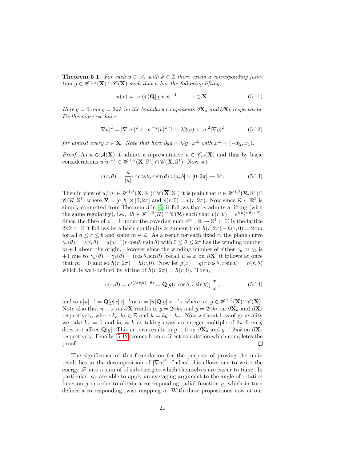**Theorem 5.1.** For each  $u \in \mathcal{A}_k$  with  $k \in \mathbb{Z}$  there exists a corresponding function  $g \in \mathscr{W}^{1,2}(\mathbf{X}) \cap \mathscr{C}(\overline{\mathbf{X}})$  such that u has the following lifting,

<span id="page-21-0"></span>
$$
u(x) = |u|(x)\mathbf{Q}[g]x|x|^{-1}, \qquad x \in \mathbf{X}.\tag{5.11}
$$

Here  $g = 0$  and  $g = 2\pi k$  on the boundary components  $\partial \mathbf{X}_a$  and  $\partial \mathbf{X}_b$  respectively. Furthermore we have

$$
|\nabla u|^2 = |\nabla |u||^2 + |x|^{-2}|u|^2 (1 + 2\partial_\theta g) + |u|^2 |\nabla g|^2, \tag{5.12}
$$

for almost every  $x \in \mathbf{X}$ . Note that here  $\partial_{\theta}g = \nabla g \cdot x^{\perp}$  with  $x^{\perp} = (-x_2, x_1)$ .

*Proof.* As  $u \in \mathcal{A}(\mathbf{X})$  it admits a representative  $u \in \mathcal{C}_{id}(\mathbf{X})$  and thus by basic considerations  $u|u|^{-1} \in \mathscr{W}^{1,2}(\mathbf{X}, \mathbb{S}^1) \cap \mathscr{C}(\overline{\mathbf{X}}, \mathbb{S}^1)$ . Now set

$$
v(r,\theta) = \frac{u}{|u|}(r\cos\theta, r\sin\theta) : [a, b] \times [0, 2\pi] \to \mathbb{S}^1.
$$
 (5.13)

Then in view of  $u/|u| \in \mathscr{W}^{1,2}(\mathbf{X}, \mathbb{S}^1) \cap \mathscr{C}(\overline{\mathbf{X}}, \mathbb{S}^1)$  it is plain that  $v \in \mathscr{W}^{1,2}(\mathcal{R}, \mathbb{S}^1) \cap$  $\mathscr{C}(\mathcal{R}, \mathbb{S}^1)$  where  $\mathcal{R} = [a, b] \times [0, 2\pi]$  and  $v(r, 0) = v(r, 2\pi)$ . Now since  $\mathcal{R} \subset \mathbb{R}^2$  is simply-connected from Theorem 3 in  $[6]$  it follows that v admits a lifting (with the same regularity), i.e.,  $\exists h \in \mathscr{W}^{1,2}(\mathcal{R}) \cap \mathscr{C}(\mathcal{R})$  such that  $v(r,\theta) = e^{i(h(r,\theta)+\theta)}$ . Since the fibre of  $z = 1$  under the covering map  $e^{ix} : \mathbb{R} \to \mathbb{S}^1 \subset \mathbb{C}$  is the lattice  $2\pi\mathbb{Z} \subset \mathbb{R}$  it follows by a basic continuity argument that  $h(r, 2\pi) - h(r, 0) = 2\pi m$ for all  $a \leq r \leq b$  and some  $m \in \mathbb{Z}$ . As a result for each fixed r, the plane curve  $\gamma_r(\theta) = v(r, \theta) = u|u|^{-1}(r \cos \theta, r \sin \theta)$  with  $0 \le \theta \le 2\pi$  has the winding number  $m+1$  about the origin. However since the winding number of either  $\gamma_a$  or  $\gamma_b$  is +1 due to  $\gamma_a(\theta) = \gamma_b(\theta) = (\cos \theta, \sin \theta)$  [recall  $u \equiv x$  on  $\partial \mathbf{X}$ ] it follows at once that  $m = 0$  and so  $h(r, 2\pi) = h(r, 0)$ . Now let  $g(x) = g(r \cos \theta, r \sin \theta) = h(r, \theta)$ which is well-defined by virtue of  $h(r, 2\pi) = h(r, 0)$ . Then,

$$
v(r,\theta) = e^{i(h(r,\theta) + \theta)} = \mathbf{Q}[g(r\cos\theta, r\sin\theta)]\frac{x}{|x|},
$$
\n(5.14)

and so  $u|u|^{-1} = \mathbf{Q}[g]x|x|^{-1}$  or  $u = |u|\mathbf{Q}[g]|x|^{-1}x$  where  $|u|, g \in \mathscr{W}^{1,2}(\mathbf{X}) \cap \mathscr{C}(\overline{\mathbf{X}})$ . Note also that  $u \equiv x$  on  $\partial X$  results in  $g = 2\pi k_a$  and  $g = 2\pi k_b$  on  $\partial X_a$  and  $\partial X_b$ respectively, where  $k_a, k_b \in \mathbb{Z}$  and  $k = k_b - k_a$ . Now without loss of generality we take  $k_a = 0$  and  $k_b = k$  as taking away an integer multiple of  $2\pi$  from g does not affect Q[g]. This in turn results in  $g \equiv 0$  on  $\partial \mathbf{X}_a$  and  $g \equiv 2\pi k$  on  $\partial \mathbf{X}_b$ respectively. Finally [\(5.12\)](#page-21-0) comes from a direct calculation which completes the proof.  $\Box$ 

The significance of this formulation for the purpose of proving the main result lies in the decomposition of  $|\nabla u|^2$ . Indeed this allows one to write the energy  $\mathscr F$  into a sum of of sub-energies which themselves are easier to tame. In particular, we are able to apply an averaging argument to the angle of rotation function g in order to obtain a corresponding radial function  $\bar{g}$ , which in turn defines a corresponding twist mapping  $\bar{u}$ . With these propositions now at our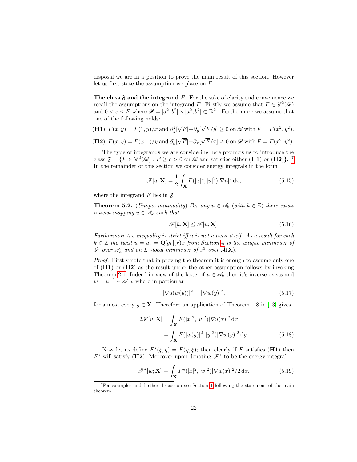disposal we are in a position to prove the main result of this section. However let us first state the assumption we place on F.

The class  $\mathfrak F$  and the integrand F. For the sake of clarity and convenience we recall the assumptions on the integrand F. Firstly we assume that  $F \in \mathscr{C}^2(\mathscr{R})$ and  $0 < c \le F$  where  $\mathscr{R} = [a^2, b^2] \times [a^2, b^2] \subset \mathbb{R}^2_+$ . Furthermore we assume that one of the following holds:

(H1) 
$$
F(x, y) = F(1, y)/x
$$
 and  $\partial_y^2[\sqrt{F}] + \partial_y[\sqrt{F}/y] \ge 0$  on *R* with  $F = F(x^2, y^2)$ .

(H2) 
$$
F(x,y) = F(x,1)/y
$$
 and  $\partial_x^2[\sqrt{F}] + \partial_x[\sqrt{F}/x] \ge 0$  on  $\mathcal{R}$  with  $F = F(x^2, y^2)$ .

The type of integrands we are considering here prompts us to introduce the class  $\mathfrak{F} = \{ F \in \mathscr{C}^2(\mathscr{R}) : F \geq c > 0 \text{ on } \mathscr{R} \text{ and satisfies either (H1) or (H2)} \}.$ <sup>[7](#page-22-0)</sup> In the remainder of this section we consider energy integrals in the form

$$
\mathscr{F}[u; \mathbf{X}] = \frac{1}{2} \int_{\mathbf{X}} F(|x|^2, |u|^2) |\nabla u|^2 \, \mathrm{d}x,\tag{5.15}
$$

where the integrand  $F$  lies in  $\mathfrak{F}$ .

**Theorem 5.2.** (Unique minimality) For any  $u \in \mathcal{A}_k$  (with  $k \in \mathbb{Z}$ ) there exists a twist mapping  $\bar{u} \in \mathscr{A}_k$  such that

<span id="page-22-2"></span>
$$
\mathscr{F}[\bar{u}; \mathbf{X}] \le \mathscr{F}[u; \mathbf{X}].\tag{5.16}
$$

Furthermore the inequality is strict iff u is not a twist itself. As a result for each  $k \in \mathbb{Z}$  the twist  $u = u_k = \mathbf{Q}[q_k](r)x$  from Section [4](#page-14-1) is the unique minimiser of  $\mathscr F$  over  $\mathscr A_k$  and an  $L^1$ -local minimiser of  $\mathscr F$  over  $\mathcal A(\mathbf X)$ .

Proof. Firstly note that in proving the theorem it is enough to assume only one of  $(H1)$  or  $(H2)$  as the result under the other assumption follows by invoking Theorem [2.1.](#page-5-0) Indeed in view of the latter if  $u \in \mathscr{A}_k$  then it's inverse exists and  $w = u^{-1} \in \mathscr{A}_{-k}$  where in particular

<span id="page-22-1"></span>
$$
|\nabla u(w(y))|^2 = |\nabla w(y)|^2,\tag{5.17}
$$

for almost every  $y \in \mathbf{X}$ . Therefore an application of Theorem 1.8 in [\[13\]](#page-28-9) gives

$$
2\mathscr{F}[u; \mathbf{X}] = \int_{\mathbf{X}} F(|x|^2, |u|^2) |\nabla u(x)|^2 dx
$$
  
= 
$$
\int_{\mathbf{X}} F(|w(y)|^2, |y|^2) |\nabla w(y)|^2 dy.
$$
 (5.18)

Now let us define  $F^*(\xi, \eta) = F(\eta, \xi)$ ; then clearly if F satisfies (H1) then  $F^*$  will satisfy (H2). Moreover upon denoting  $\mathscr{F}^*$  to be the energy integral

$$
\mathscr{F}^{\star}[w; \mathbf{X}] = \int_{\mathbf{X}} F^{\star}(|x|^2, |w|^2) |\nabla w(x)|^2 / 2 \, \mathrm{d}x. \tag{5.19}
$$

<span id="page-22-0"></span><sup>7</sup>For examples and further discussion see Section [1](#page-1-1) following the statement of the main theorem.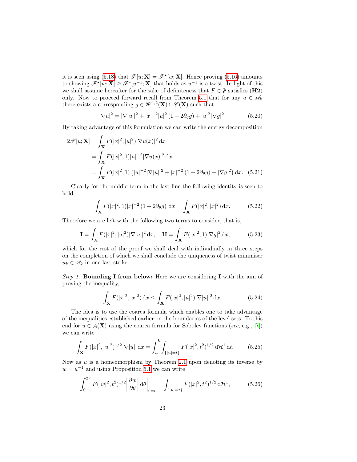it is seen using [\(5.18\)](#page-22-1) that  $\mathscr{F}[u; \mathbf{X}] = \mathscr{F}^{\star}[w; \mathbf{X}]$ . Hence proving (5.[16\)](#page-22-2) amounts to showing  $\mathscr{F}^{\star}[w; \mathbf{X}] \geq \mathscr{F}^{\star}[\bar{u}^{-1}; \mathbf{X}]$  that holds as  $\bar{u}^{-1}$  is a twist. In light of this we shall assume hereafter for the sake of definiteness that  $F \in \mathfrak{F}$  satisfies (H2) only. Now to proceed forward recall from Theorem [5.1](#page-20-0) that for any  $u \in \mathscr{A}_k$ there exists a corresponding  $g \in \mathscr{W}^{1,2}(\mathbf{X}) \cap \mathscr{C}(\overline{\mathbf{X}})$  such that

$$
|\nabla u|^2 = |\nabla |u||^2 + |x|^{-2}|u|^2 (1 + 2\partial_\theta g) + |u|^2 |\nabla g|^2.
$$
 (5.20)

By taking advantage of this formulation we can write the energy decomposition

$$
2\mathscr{F}[u; \mathbf{X}] = \int_{\mathbf{X}} F(|x|^2, |u|^2) |\nabla u(x)|^2 dx
$$
  
= 
$$
\int_{\mathbf{X}} F(|x|^2, 1) |u|^{-2} |\nabla u(x)|^2 dx
$$
  
= 
$$
\int_{\mathbf{X}} F(|x|^2, 1) (|u|^{-2} |\nabla |u||^2 + |x|^{-2} (1 + 2\partial_\theta g) + |\nabla g|^2) dx.
$$
 (5.21)

Clearly for the middle term in the last line the following identity is seen to hold

$$
\int_{\mathbf{X}} F(|x|^2, 1)|x|^{-2} (1 + 2\partial_{\theta}g) dx = \int_{\mathbf{X}} F(|x|^2, |x|^2) dx.
$$
 (5.22)

Therefore we are left with the following two terms to consider, that is,

$$
\mathbf{I} = \int_{\mathbf{X}} F(|x|^2, |u|^2) |\nabla |u||^2 \, \mathrm{d}x, \quad \mathbf{II} = \int_{\mathbf{X}} F(|x|^2, 1) |\nabla g|^2 \, \mathrm{d}x,\tag{5.23}
$$

which for the rest of the proof we shall deal with individually in three steps on the completion of which we shall conclude the uniqueness of twist minimiser  $u_k \in \mathscr{A}_k$  in one last strike.

Step 1. **Bounding I from below:** Here we are considering **I** with the aim of proving the inequality,

<span id="page-23-0"></span>
$$
\int_{\mathbf{X}} F(|x|^2, |x|^2) \, \mathrm{d}x \le \int_{\mathbf{X}} F(|x|^2, |u|^2) |\nabla |u||^2 \, \mathrm{d}x. \tag{5.24}
$$

The idea is to use the coarea formula which enables one to take advantage of the inequalities established earlier on the boundaries of the level sets. To this end for  $u \in \mathcal{A}(\mathbf{X})$  using the coarea formula for Sobolev functions (see, e.g., [\[7\]](#page-28-11)) we can write

$$
\int_{\mathbf{X}} F(|x|^2, |u|^2)^{1/2} |\nabla |u| | \, \mathrm{d}x = \int_a^b \int_{\{|u|=t\}} F(|x|^2, t^2)^{1/2} \, \mathrm{d}H^1 \, \mathrm{d}t. \tag{5.25}
$$

Now as  $u$  is a homeomorphism by Theorem [2](#page-5-0).1 upon denoting its inverse by  $w = u^{-1}$  and using Proposition [5.1](#page-19-0) we can write

$$
\int_0^{2\pi} F(|w|^2, t^2)^{1/2} \left| \frac{\partial w}{\partial \theta} \right| d\theta \Big|_{r=t} = \int_{\{|u|=t\}} F(|x|^2, t^2)^{1/2} d\mathcal{H}^1,\tag{5.26}
$$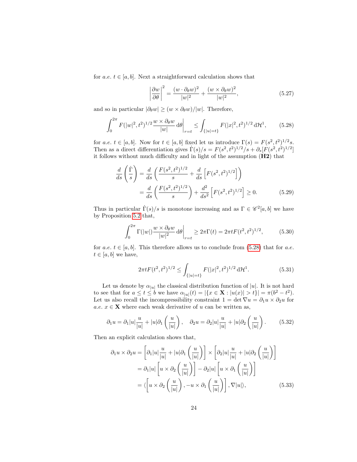for a.e.  $t \in [a, b]$ . Next a straightforward calculation shows that

<span id="page-24-0"></span>
$$
\left|\frac{\partial w}{\partial \theta}\right|^2 = \frac{(w \cdot \partial_\theta w)^2}{|w|^2} + \frac{(w \times \partial_\theta w)^2}{|w|^2},\tag{5.27}
$$

and so in particular  $|\partial_{\theta} w| \geq (w \times \partial_{\theta} w)/|w|$ . Therefore,

$$
\int_0^{2\pi} F(|w|^2, t^2)^{1/2} \frac{w \times \partial_\theta w}{|w|} d\theta \bigg|_{r=t} \le \int_{\{|u|=t\}} F(|x|^2, t^2)^{1/2} d\mathcal{H}^1,\tag{5.28}
$$

for a.e.  $t \in [a, b]$ . Now for  $t \in [a, b]$  fixed let us introduce  $\Gamma(s) = F(s^2, t^2)^{1/2} s$ . Then as a direct differentiation gives  $\dot{\Gamma}(s)/s = F(s^2, t^2)^{1/2}/s + \partial_s[F(s^2, t^2)^{1/2}]$ it follows without much difficulty and in light of the assumption (H2) that

$$
\frac{d}{ds}\left(\frac{\dot{\Gamma}}{s}\right) = \frac{d}{ds}\left(\frac{F(s^2, t^2)^{1/2}}{s} + \frac{d}{ds}\left[F(s^2, t^2)^{1/2}\right]\right)
$$
\n
$$
= \frac{d}{ds}\left(\frac{F(s^2, t^2)^{1/2}}{s}\right) + \frac{d^2}{ds^2}\left[F(s^2, t^2)^{1/2}\right] \ge 0. \tag{5.29}
$$

Thus in particular  $\dot{\Gamma}(s)/s$  is monotone increasing and as  $\Gamma \in \mathscr{C}^2[a, b]$  we have by Proposition [5.2](#page-20-1) that,

$$
\int_0^{2\pi} \Gamma(|w|) \frac{w \times \partial_\theta w}{|w|^2} d\theta \bigg|_{r=t} \ge 2\pi \Gamma(t) = 2\pi t F(t^2, t^2)^{1/2}, \tag{5.30}
$$

for a.e.  $t \in [a, b]$ . This therefore allows us to conclude from [\(5.28\)](#page-24-0) that for a.e.  $t \in [a, b]$  we have,

<span id="page-24-1"></span>
$$
2\pi t F(t^2, t^2)^{1/2} \le \int_{\{|u|=t\}} F(|x|^2, t^2)^{1/2} d\mathcal{H}^1. \tag{5.31}
$$

Let us denote by  $\alpha_{|u|}$  the classical distribution function of |u|. It is not hard to see that for  $a \le t \le b$  we have  $\alpha_{|u|}(t) = |\{x \in \mathbf{X} : |u(x)| > t\}| = \pi(b^2 - t^2)$ . Let us also recall the incompressibility constraint  $1 = \det \nabla u = \partial_1 u \times \partial_2 u$  for a.e.  $x \in \mathbf{X}$  where each weak derivative of u can be written as,

$$
\partial_1 u = \partial_1 |u| \frac{u}{|u|} + |u| \partial_1 \left( \frac{u}{|u|} \right), \quad \partial_2 u = \partial_2 |u| \frac{u}{|u|} + |u| \partial_2 \left( \frac{u}{|u|} \right). \tag{5.32}
$$

Then an explicit calculation shows that,

$$
\partial_1 u \times \partial_2 u = \left[ \partial_1 |u| \frac{u}{|u|} + |u| \partial_1 \left( \frac{u}{|u|} \right) \right] \times \left[ \partial_2 |u| \frac{u}{|u|} + |u| \partial_2 \left( \frac{u}{|u|} \right) \right]
$$

$$
= \partial_1 |u| \left[ u \times \partial_2 \left( \frac{u}{|u|} \right) \right] - \partial_2 |u| \left[ u \times \partial_1 \left( \frac{u}{|u|} \right) \right]
$$

$$
= \langle \left[ u \times \partial_2 \left( \frac{u}{|u|} \right), -u \times \partial_1 \left( \frac{u}{|u|} \right) \right], \nabla |u| \rangle, \tag{5.33}
$$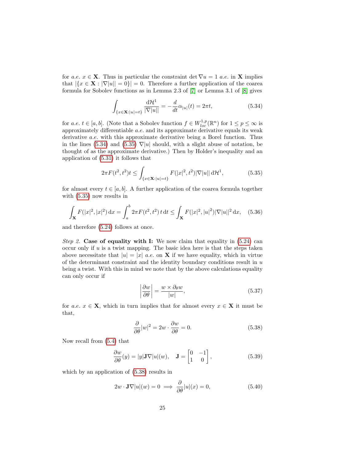for a.e.  $x \in \mathbf{X}$ . Thus in particular the constraint det  $\nabla u = 1$  a.e. in **X** implies that  $|\{x \in \mathbf{X} : |\nabla |u|| = 0\}| = 0$ . Therefore a further application of the coarea formula for Sobolev functions as in Lemma 2.3 of [\[7\]](#page-28-11) or Lemma 3.1 of [\[8\]](#page-28-13) gives

<span id="page-25-0"></span>
$$
\int_{\{x \in \mathbf{X}:|u|=t\}} \frac{\mathrm{d}\mathcal{H}^1}{|\nabla|u||} = -\frac{d}{dt}\alpha_{|u|}(t) = 2\pi t,\tag{5.34}
$$

for a.e.  $t \in [a, b]$ . (Note that a Sobolev function  $f \in W_{loc}^{1,p}(\mathbb{R}^n)$  for  $1 \le p \le \infty$  is approximately differentiable a.e. and its approximate derivative equals its weak derivative a.e. with this approximate derivative being a Borel function. Thus in the lines [\(5.34\)](#page-25-0) and [\(5.35\)](#page-25-1)  $\nabla |u|$  should, with a slight abuse of notation, be thought of as the approximate derivative.) Then by Holder's inequality and an application of (5.[31\)](#page-24-1) it follows that

<span id="page-25-1"></span>
$$
2\pi F(t^2, t^2)t \le \int_{\{x \in \mathbf{X} : |u|=t\}} F(|x|^2, t^2)|\nabla |u|| \, d\mathcal{H}^1,\tag{5.35}
$$

for almost every  $t \in [a, b]$ . A further application of the coarea formula together with [\(5.35\)](#page-25-1) now results in

$$
\int_{\mathbf{X}} F(|x|^2, |x|^2) dx = \int_a^b 2\pi F(t^2, t^2) t dt \le \int_{\mathbf{X}} F(|x|^2, |u|^2) |\nabla |u||^2 dx, \quad (5.36)
$$

and therefore [\(5.24\)](#page-23-0) follows at once.

Step 2. Case of equality with I: We now claim that equality in  $(5.24)$  can occur only if  $u$  is a twist mapping. The basic idea here is that the steps taken above necessitate that  $|u| = |x|$  a.e. on **X** if we have equality, which in virtue of the determinant constraint and the identity boundary conditions result in  $u$ being a twist. With this in mind we note that by the above calculations equality can only occur if

<span id="page-25-2"></span>
$$
\left|\frac{\partial w}{\partial \theta}\right| = \frac{w \times \partial_{\theta} w}{|w|},\tag{5.37}
$$

for a.e.  $x \in \mathbf{X}$ , which in turn implies that for almost every  $x \in \mathbf{X}$  it must be that,

$$
\frac{\partial}{\partial \theta}|w|^2 = 2w \cdot \frac{\partial w}{\partial \theta} = 0.
$$
\n(5.38)

Now recall from [\(5.4\)](#page-20-3) that

$$
\frac{\partial w}{\partial \theta}(y) = |y| \mathbf{J} \nabla |u|(w), \quad \mathbf{J} = \begin{bmatrix} 0 & -1 \\ 1 & 0 \end{bmatrix},
$$
\n(5.39)

which by an application of [\(5.38\)](#page-25-2) results in

$$
2w \cdot \mathbf{J} \nabla |u|(w) = 0 \implies \frac{\partial}{\partial \theta} |u|(x) = 0,
$$
\n(5.40)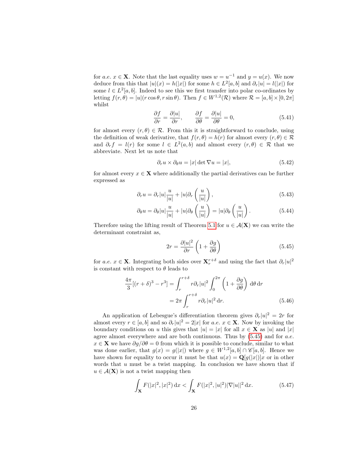for a.e.  $x \in \mathbf{X}$ . Note that the last equality uses  $w = u^{-1}$  and  $y = u(x)$ . We now deduce from this that  $|u|(x) = h(|x|)$  for some  $h \in L^2[a, b]$  and  $\partial_r |u| = l(|x|)$  for some  $l \in L^2[a, b]$ . Indeed to see this we first transfer into polar co-ordinates by letting  $f(r, \theta) = |u|(r \cos \theta, r \sin \theta)$ . Then  $f \in W^{1,2}(\mathcal{R})$  where  $\mathcal{R} = [a, b] \times [0, 2\pi]$ whilst

$$
\frac{\partial f}{\partial r} = \frac{\partial |u|}{\partial r}, \qquad \frac{\partial f}{\partial \theta} = \frac{\partial |u|}{\partial \theta} = 0,
$$
\n(5.41)

for almost every  $(r, \theta) \in \mathcal{R}$ . From this it is straightforward to conclude, using the definition of weak derivative, that  $f(r, \theta) = h(r)$  for almost every  $(r, \theta) \in \mathcal{R}$ and  $\partial_r f = l(r)$  for some  $l \in L^2(a, b)$  and almost every  $(r, \theta) \in \mathcal{R}$  that we abbreviate. Next let us note that

$$
\partial_r u \times \partial_\theta u = |x| \det \nabla u = |x|,\tag{5.42}
$$

for almost every  $x \in \mathbf{X}$  where additionally the partial derivatives can be further expressed as

$$
\partial_r u = \partial_r |u| \frac{u}{|u|} + |u| \partial_r \left( \frac{u}{|u|} \right), \tag{5.43}
$$

$$
\partial_{\theta} u = \partial_{\theta} |u| \frac{u}{|u|} + |u| \partial_{\theta} \left( \frac{u}{|u|} \right) = |u| \partial_{\theta} \left( \frac{u}{|u|} \right). \tag{5.44}
$$

Therefore using the lifting result of Theorem [5.1](#page-20-0) for  $u \in \mathcal{A}(\mathbf{X})$  we can write the determinant constraint as,

<span id="page-26-0"></span>
$$
2r = \frac{\partial |u|^2}{\partial r} \left( 1 + \frac{\partial g}{\partial \theta} \right) \tag{5.45}
$$

for a.e.  $x \in \mathbf{X}$ . Integrating both sides over  $\mathbf{X}_r^{r+\delta}$  and using the fact that  $\partial_r |u|^2$ is constant with respect to  $\theta$  leads to

$$
\frac{4\pi}{3}[(r+\delta)^3 - r^3] = \int_r^{r+\delta} r\partial_r|u|^2 \int_0^{2\pi} \left(1 + \frac{\partial g}{\partial \theta}\right) d\theta dr
$$

$$
= 2\pi \int_r^{r+\delta} r\partial_r|u|^2 dr. \tag{5.46}
$$

An application of Lebesgue's differentiation theorem gives  $\partial_r |u|^2 = 2r$  for almost every  $r \in [a, b]$  and so  $\partial_r |u|^2 = 2|x|$  for  $a.e. x \in \mathbf{X}$ . Now by invoking the boundary conditions on u this gives that  $|u| = |x|$  for all  $x \in \mathbf{X}$  as  $|u|$  and  $|x|$ agree almost everywhere and are both continuous. Thus by  $(5.45)$  and for a.e.  $x \in \mathbf{X}$  we have  $\partial g / \partial \theta = 0$  from which it is possible to conclude, similar to what was done earlier, that  $g(x) = g(|x|)$  where  $g \in W^{1,2}[a, b] \cap \mathscr{C}[a, b]$ . Hence we have shown for equality to occur it must be that  $u(x) = \mathbf{Q}[g(|x|)]x$  or in other words that  $u$  must be a twist mapping. In conclusion we have shown that if  $u \in \mathcal{A}(\mathbf{X})$  is not a twist mapping then

<span id="page-26-1"></span>
$$
\int_{\mathbf{X}} F(|x|^2, |x|^2) \, \mathrm{d}x < \int_{\mathbf{X}} F(|x|^2, |u|^2) |\nabla |u||^2 \, \mathrm{d}x. \tag{5.47}
$$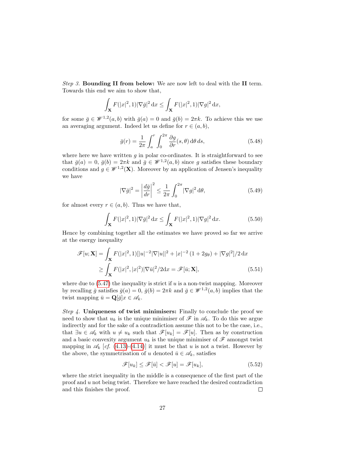Step 3. Bounding II from below: We are now left to deal with the II term. Towards this end we aim to show that,

$$
\int_{\mathbf{X}} F(|x|^2,1) |\nabla \bar{g}|^2 \,dx \le \int_{\mathbf{X}} F(|x|^2,1) |\nabla g|^2 \,dx,
$$

for some  $\bar{g} \in \mathscr{W}^{1,2}(a,b)$  with  $\bar{g}(a) = 0$  and  $\bar{g}(b) = 2\pi k$ . To achieve this we use an averaging argument. Indeed let us define for  $r \in (a, b)$ ,

$$
\bar{g}(r) = \frac{1}{2\pi} \int_{a}^{r} \int_{0}^{2\pi} \frac{\partial g}{\partial r}(s,\theta) \,d\theta \,ds,\tag{5.48}
$$

where here we have written  $q$  in polar co-ordinates. It is straightforward to see that  $\bar{g}(a) = 0$ ,  $\bar{g}(b) = 2\pi k$  and  $\bar{g} \in \mathcal{W}^{1,2}(a, b)$  since g satisfies these boundary conditions and  $g \in \mathscr{W}^{1,2}(\mathbf{X})$ . Moreover by an application of Jensen's inequality we have

$$
|\nabla \bar{g}|^2 = \left| \frac{d\bar{g}}{dr} \right|^2 \le \frac{1}{2\pi} \int_0^{2\pi} |\nabla g|^2 \, d\theta,\tag{5.49}
$$

for almost every  $r \in (a, b)$ . Thus we have that,

$$
\int_{\mathbf{X}} F(|x|^2, 1) |\nabla \bar{g}|^2 \, dx \le \int_{\mathbf{X}} F(|x|^2, 1) |\nabla g|^2 \, dx. \tag{5.50}
$$

Hence by combining together all the estimates we have proved so far we arrive at the energy inequality

$$
\mathscr{F}[u; \mathbf{X}] = \int_{\mathbf{X}} F(|x|^2, 1)[|u|^{-2}|\nabla|u||^2 + |x|^{-2} (1 + 2g_\theta) + |\nabla g|^2]/2 \, dx
$$
  
\n
$$
\geq \int_{\mathbf{X}} F(|x|^2, |x|^2) |\nabla \bar{u}|^2 / 2 \, dx = \mathscr{F}[\bar{u}; \mathbf{X}], \tag{5.51}
$$

where due to  $(5.47)$  the inequality is strict if u is a non-twist mapping. Moreover by recalling  $\bar{g}$  satisfies  $\bar{g}(a) = 0$ ,  $\bar{g}(b) = 2\pi k$  and  $\bar{g} \in \mathscr{W}^{1,2}(a, b)$  implies that the twist mapping  $\bar{u} = \mathbf{Q}[\bar{g}]x \in \mathscr{A}_k$ .

Step 4. Uniqueness of twist minimisers: Finally to conclude the proof we need to show that  $u_k$  is the unique minimiser of  $\mathscr F$  in  $\mathscr A_k$ . To do this we argue indirectly and for the sake of a contradiction assume this not to be the case, i.e., that  $\exists u \in \mathscr{A}_k$  with  $u \neq u_k$  such that  $\mathscr{F}[u_k] = \mathscr{F}[u]$ . Then as by construction and a basic convexity argument  $u_k$  is the unique minimiser of  $\mathscr F$  amongst twist mapping in  $\mathscr{A}_k$  [cf. [\(4.13\)](#page-16-2)-[\(4.14\)](#page-16-3)] it must be that u is not a twist. However by the above, the symmetrisation of u denoted  $\bar{u} \in \mathscr{A}_k$ , satisfies

$$
\mathscr{F}[u_k] \le \mathscr{F}[\bar{u}] < \mathscr{F}[u] = \mathscr{F}[u_k],\tag{5.52}
$$

where the strict inequality in the middle is a consequence of the first part of the proof and u not being twist. Therefore we have reached the desired contradiction and this finishes the proof.  $\Box$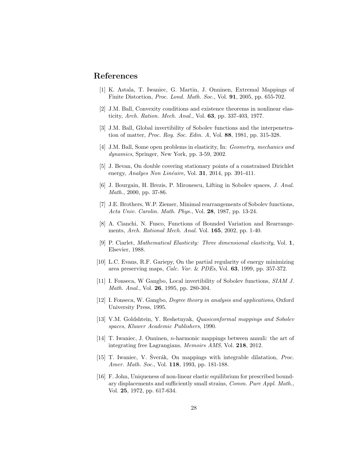#### References

- <span id="page-28-0"></span>[1] K. Astala, T. Iwaniec, G. Martin, J. Onninen, Extremal Mappings of Finite Distortion, Proc. Lond. Math. Soc., Vol. 91, 2005, pp. 655-702.
- [2] J.M. Ball, Convexity conditions and existence theorems in nonlinear elasticity, Arch. Ration. Mech. Anal., Vol. 63, pp. 337-403, 1977.
- <span id="page-28-7"></span>[3] J.M. Ball, Global invertibility of Sobolev functions and the interpenetration of matter, Proc. Roy. Soc. Edin. A, Vol. 88, 1981, pp. 315-328.
- <span id="page-28-1"></span>[4] J.M. Ball, Some open problems in elasticity, In: Geometry, mechanics and dynamics, Springer, New York, pp. 3-59, 2002.
- <span id="page-28-3"></span>[5] J. Bevan, On double covering stationary points of a constrained Dirichlet energy, Analyes Non Linéaire, Vol. 31, 2014, pp. 391-411.
- <span id="page-28-12"></span>[6] J. Bourgain, H. Brezis, P. Mironescu, Lifting in Sobolev spaces, J. Anal. Math., 2000, pp. 37-86.
- <span id="page-28-11"></span>[7] J.E. Brothers, W.P. Ziemer, Minimal rearrangements of Sobolev functions, Acta Univ. Carolin. Math. Phys., Vol. 28, 1987, pp. 13-24.
- <span id="page-28-13"></span>[8] A. Cianchi, N. Fusco, Functions of Bounded Variation and Rearrangements, Arch. Rational Mech. Anal. Vol. 165, 2002, pp. 1-40.
- <span id="page-28-2"></span>[9] P. Ciarlet, Mathematical Elasticity: Three dimensional elasticity, Vol. 1, Elsevier, 1988.
- <span id="page-28-4"></span>[10] L.C. Evans, R.F. Gariepy, On the partial regularity of energy minimizing area preserving maps, Calc. Var. & PDEs, Vol. 63, 1999, pp. 357-372.
- [11] I. Fonseca, W Gangbo, Local invertibility of Sobolev functions, SIAM J. Math. Anal., Vol. 26, 1995, pp. 280-304.
- <span id="page-28-8"></span>[12] I. Fonseca, W. Gangbo, Degree theory in analysis and applications, Oxford University Press, 1995.
- <span id="page-28-9"></span>[13] V.M. Goldshtein, Y. Reshetnyak, Quasiconformal mappings and Sobolev spaces, Kluwer Academic Publishers, 1990.
- <span id="page-28-5"></span>[14] T. Iwaniec, J. Onninen, n-harmonic mappings between annuli: the art of integrating free Lagrangians, Memoirs AMS, Vol. 218, 2012.
- <span id="page-28-10"></span>[15] T. Iwaniec, V. Šverák, On mappings with integrable dilatation, *Proc.* Amer. Math. Soc., Vol. 118, 1993, pp. 181-188.
- <span id="page-28-6"></span>[16] F. John, Uniqueness of non-linear elastic equilibrium for prescribed boundary displacements and sufficiently small strains, Comm. Pure Appl. Math., Vol. 25, 1972, pp. 617-634.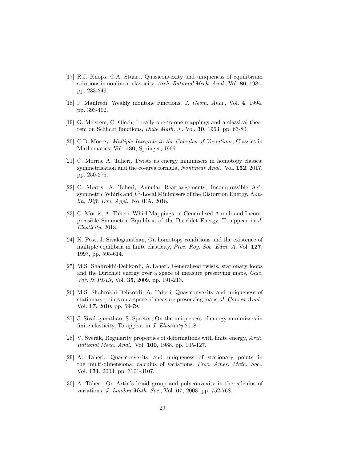- <span id="page-29-5"></span>[17] R.J. Knops, C.A. Stuart, Quasiconvexity and uniqueness of equilibrium solutions in nonlinear elasticity, Arch. Rational Mech. Anal., Vol. 86, 1984, pp. 233-249.
- <span id="page-29-10"></span>[18] J. Manfredi, Weakly montone functions, *J. Geom. Anal.*, Vol. 4, 1994, pp. 393-402.
- <span id="page-29-12"></span>[19] G. Meisters, C. Olech, Locally one-to-one mappings and a classical theorem on Schlicht functions, Duke Math. J., Vol. 30, 1963, pp. 63-80.
- <span id="page-29-9"></span>[20] C.B. Morrey. Multiple Integrals in the Calculus of Variations, Classics in Mathematics, Vol. 130, Springer, 1966.
- <span id="page-29-2"></span>[21] C. Morris, A. Taheri, Twists as energy minimisers in homotopy classes: symmetrisation and the co-area formula, *Nonlinear Anal.*, Vol. **152**, 2017, pp. 250-275.
- <span id="page-29-3"></span>[22] C. Morris, A. Taheri, Annular Rearrangements, Incompressible Axisymmetric Whirls and  $L^1$ -Local Minimisers of the Distortion Energy, Nonlin. Diff. Equ. Appl., NoDEA, 2018.
- <span id="page-29-4"></span>[23] C. Morris, A. Taheri, Whirl Mappings on Generalised Annuli and Incompressible Symmetric Equilibria of the Dirichlet Energy, To appear in J. Elasticity, 2018.
- <span id="page-29-1"></span>[24] K. Post, J. Sivaloganathan, On homotopy conditions and the existence of multiple equilibria in finite elasticity, Proc. Roy. Soc. Edin. A, Vol. 127, 1997, pp. 595-614.
- <span id="page-29-13"></span>[25] M.S. Shahrokhi-Dehkordi, A.Taheri, Generalised twists, stationary loops and the Dirichlet energy over a space of measure preserving maps, Calc. Var. & PDEs, Vol. 35, 2009, pp. 191-213.
- <span id="page-29-6"></span>[26] M.S. Shahrokhi-Dehkordi, A. Taheri, Quasiconvexity and uniqueness of stationary points on a space of measure preserving maps, J. Convex Anal. Vol. 17, 2010, pp. 69-79.
- <span id="page-29-7"></span>[27] J. Sivaloganathan, S. Spector, On the uniqueness of energy minimizers in finite elasticity, To appear in J. Elasticity 2018.
- <span id="page-29-11"></span>[28] V. Sverák, Regularity properties of deformations with finite energy,  $Arch.$ Rational Mech. Anal., Vol. 100, 1988, pp. 105-127.
- <span id="page-29-8"></span>[29] A. Taheri, Quasiconvexity and uniqueness of stationary points in the multi-dimensional calculus of variations, Proc. Amer. Math. Soc., Vol. 131, 2003, pp. 3101-3107.
- <span id="page-29-0"></span>[30] A. Taheri, On Artin's braid group and polyconvexity in the calculus of variations, *J. London Math. Soc.*, Vol. 67, 2003, pp. 752-768.